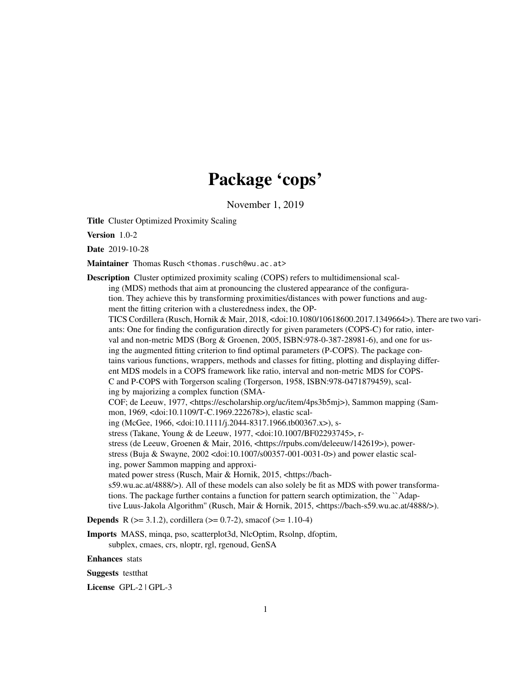# Package 'cops'

November 1, 2019

<span id="page-0-0"></span>Title Cluster Optimized Proximity Scaling

Version 1.0-2

Date 2019-10-28

Maintainer Thomas Rusch <thomas.rusch@wu.ac.at>

Description Cluster optimized proximity scaling (COPS) refers to multidimensional scaling (MDS) methods that aim at pronouncing the clustered appearance of the configuration. They achieve this by transforming proximities/distances with power functions and augment the fitting criterion with a clusteredness index, the OP-TICS Cordillera (Rusch, Hornik & Mair, 2018, <doi:10.1080/10618600.2017.1349664>). There are two variants: One for finding the configuration directly for given parameters (COPS-C) for ratio, interval and non-metric MDS (Borg & Groenen, 2005, ISBN:978-0-387-28981-6), and one for using the augmented fitting criterion to find optimal parameters (P-COPS). The package contains various functions, wrappers, methods and classes for fitting, plotting and displaying different MDS models in a COPS framework like ratio, interval and non-metric MDS for COPS-C and P-COPS with Torgerson scaling (Torgerson, 1958, ISBN:978-0471879459), scaling by majorizing a complex function (SMA-COF; de Leeuw, 1977, <https://escholarship.org/uc/item/4ps3b5mj>), Sammon mapping (Sammon, 1969, <doi:10.1109/T-C.1969.222678>), elastic scaling (McGee, 1966, <doi:10.1111/j.2044-8317.1966.tb00367.x>), sstress (Takane, Young & de Leeuw, 1977, <doi:10.1007/BF02293745>, rstress (de Leeuw, Groenen & Mair, 2016, <https://rpubs.com/deleeuw/142619>), powerstress (Buja & Swayne, 2002 <doi:10.1007/s00357-001-0031-0>) and power elastic scaling, power Sammon mapping and approximated power stress (Rusch, Mair & Hornik, 2015, <https://bachs59.wu.ac.at/4888/>). All of these models can also solely be fit as MDS with power transformations. The package further contains a function for pattern search optimization, the ``Adaptive Luus-Jakola Algorithm'' (Rusch, Mair & Hornik, 2015, <https://bach-s59.wu.ac.at/4888/>).

**Depends** R ( $>= 3.1.2$ ), cordillera ( $>= 0.7-2$ ), smacof ( $>= 1.10-4$ )

Imports MASS, minqa, pso, scatterplot3d, NlcOptim, Rsolnp, dfoptim,

subplex, cmaes, crs, nloptr, rgl, rgenoud, GenSA

Enhances stats

Suggests testthat

License GPL-2 | GPL-3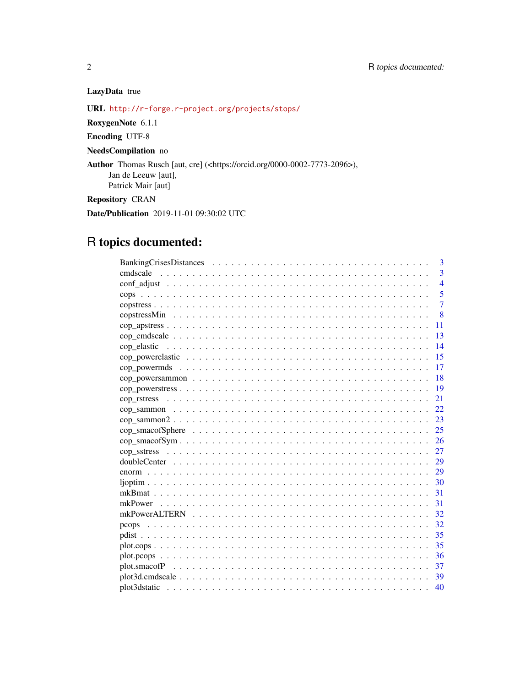# LazyData true

URL <http://r-forge.r-project.org/projects/stops/>

RoxygenNote 6.1.1

Encoding UTF-8

NeedsCompilation no

Author Thomas Rusch [aut, cre] (<https://orcid.org/0000-0002-7773-2096>), Jan de Leeuw [aut], Patrick Mair [aut]

Repository CRAN

Date/Publication 2019-11-01 09:30:02 UTC

# R topics documented:

| 3              |
|----------------|
| 3              |
| $\overline{4}$ |
| 5              |
| $\overline{7}$ |
| $\overline{8}$ |
| 11             |
| 13             |
| 14             |
| 15             |
| 17             |
| 18             |
| 19             |
| 21             |
| 22             |
| 23             |
| 25             |
| 26             |
| 27             |
|                |
|                |
| 30             |
| 31             |
| 31             |
| 32             |
|                |
| 35             |
| 35             |
| 36             |
| 37             |
|                |
| 40             |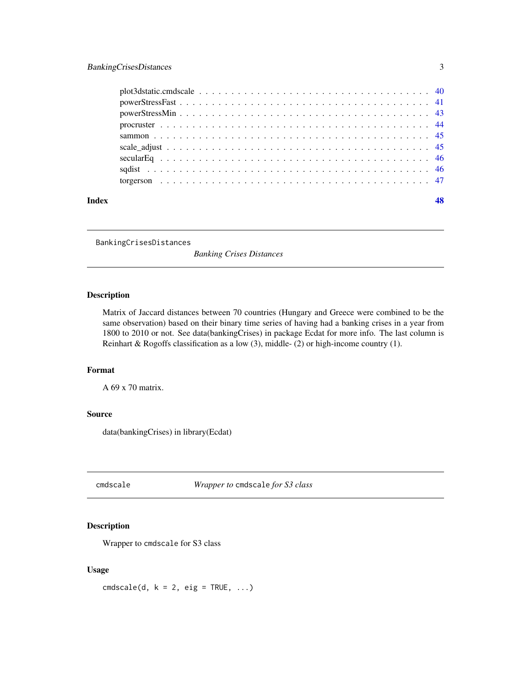<span id="page-2-0"></span>

| Index | 48 |
|-------|----|
|       |    |
|       |    |
|       |    |
|       |    |
|       |    |
|       |    |
|       |    |
|       |    |
|       |    |

BankingCrisesDistances

*Banking Crises Distances*

# Description

Matrix of Jaccard distances between 70 countries (Hungary and Greece were combined to be the same observation) based on their binary time series of having had a banking crises in a year from 1800 to 2010 or not. See data(bankingCrises) in package Ecdat for more info. The last column is Reinhart & Rogoffs classification as a low (3), middle- (2) or high-income country (1).

# Format

A 69 x 70 matrix.

# Source

data(bankingCrises) in library(Ecdat)

<span id="page-2-1"></span>cmdscale *Wrapper to* cmdscale *for S3 class*

# Description

Wrapper to cmdscale for S3 class

#### Usage

 $cmdscale(d, k = 2, eig = TRUE, ...)$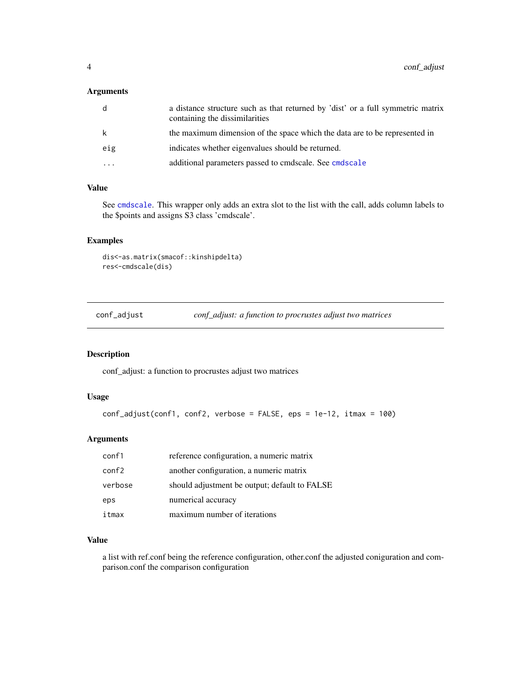#### <span id="page-3-0"></span>Arguments

| d   | a distance structure such as that returned by 'dist' or a full symmetric matrix<br>containing the dissimilarities |
|-----|-------------------------------------------------------------------------------------------------------------------|
| k   | the maximum dimension of the space which the data are to be represented in                                        |
| eig | indicates whether eigenvalues should be returned.                                                                 |
| .   | additional parameters passed to cmdscale. See cmdscale                                                            |

#### Value

See [cmdscale](#page-2-1). This wrapper only adds an extra slot to the list with the call, adds column labels to the \$points and assigns S3 class 'cmdscale'.

# Examples

```
dis<-as.matrix(smacof::kinshipdelta)
res<-cmdscale(dis)
```
conf\_adjust *conf\_adjust: a function to procrustes adjust two matrices*

#### Description

conf\_adjust: a function to procrustes adjust two matrices

#### Usage

```
conf_adjust(conf1, conf2, verbose = FALSE, eps = 1e-12, itmax = 100)
```
# Arguments

| conf1   | reference configuration, a numeric matrix     |
|---------|-----------------------------------------------|
| conf2   | another configuration, a numeric matrix       |
| verbose | should adjustment be output; default to FALSE |
| eps     | numerical accuracy                            |
| itmax   | maximum number of iterations                  |

# Value

a list with ref.conf being the reference configuration, other.conf the adjusted coniguration and comparison.conf the comparison configuration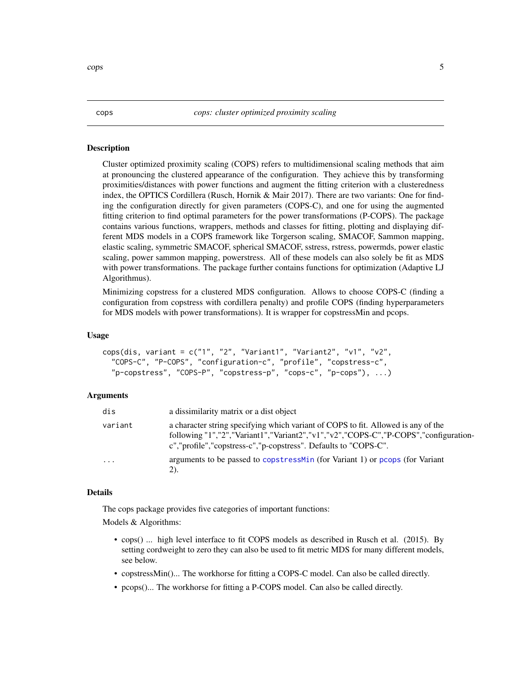<span id="page-4-0"></span>Cluster optimized proximity scaling (COPS) refers to multidimensional scaling methods that aim at pronouncing the clustered appearance of the configuration. They achieve this by transforming proximities/distances with power functions and augment the fitting criterion with a clusteredness index, the OPTICS Cordillera (Rusch, Hornik & Mair 2017). There are two variants: One for finding the configuration directly for given parameters (COPS-C), and one for using the augmented fitting criterion to find optimal parameters for the power transformations (P-COPS). The package contains various functions, wrappers, methods and classes for fitting, plotting and displaying different MDS models in a COPS framework like Torgerson scaling, SMACOF, Sammon mapping, elastic scaling, symmetric SMACOF, spherical SMACOF, sstress, rstress, powermds, power elastic scaling, power sammon mapping, powerstress. All of these models can also solely be fit as MDS with power transformations. The package further contains functions for optimization (Adaptive LJ Algorithmus).

Minimizing copstress for a clustered MDS configuration. Allows to choose COPS-C (finding a configuration from copstress with cordillera penalty) and profile COPS (finding hyperparameters for MDS models with power transformations). It is wrapper for copstressMin and pcops.

#### Usage

```
cops(dis, variant = c("1", "2", "Variant1", "Variant2", "v1", "v2","COPS-C", "P-COPS", "configuration-c", "profile", "copstress-c",
  "p-copstress", "COPS-P", "copstress-p", "cops-c", "p-cops"), ...)
```
#### Arguments

| dis      | a dissimilarity matrix or a dist object                                                                                                                                                                                                        |
|----------|------------------------------------------------------------------------------------------------------------------------------------------------------------------------------------------------------------------------------------------------|
| variant  | a character string specifying which variant of COPS to fit. Allowed is any of the<br>following "1","2","Variant1","Variant2","v1","v2","COPS-C","P-COPS","configuration-<br>c", "profile", "copstress-c", "p-copstress". Defaults to "COPS-C". |
| $\cdots$ | arguments to be passed to copstress Min (for Variant 1) or pcops (for Variant<br>2).                                                                                                                                                           |

#### Details

The cops package provides five categories of important functions:

Models & Algorithms:

- cops() ... high level interface to fit COPS models as described in Rusch et al. (2015). By setting cordweight to zero they can also be used to fit metric MDS for many different models, see below.
- copstressMin()... The workhorse for fitting a COPS-C model. Can also be called directly.
- pcops()... The workhorse for fitting a P-COPS model. Can also be called directly.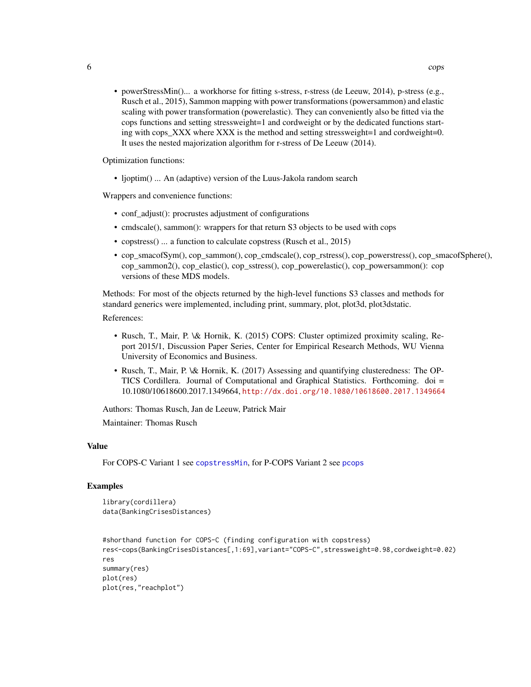<span id="page-5-0"></span>• powerStressMin()... a workhorse for fitting s-stress, r-stress (de Leeuw, 2014), p-stress (e.g., Rusch et al., 2015), Sammon mapping with power transformations (powersammon) and elastic scaling with power transformation (powerelastic). They can conveniently also be fitted via the cops functions and setting stressweight=1 and cordweight or by the dedicated functions starting with cops  $XXX$  where  $XXX$  is the method and setting stressweight=1 and cordweight=0. It uses the nested majorization algorithm for r-stress of De Leeuw (2014).

Optimization functions:

• ljoptim() ... An (adaptive) version of the Luus-Jakola random search

Wrappers and convenience functions:

- conf adjust(): procrustes adjustment of configurations
- cmdscale(), sammon(): wrappers for that return S3 objects to be used with cops
- copstress() ... a function to calculate copstress (Rusch et al., 2015)
- cop\_smacofSym(), cop\_sammon(), cop\_cmdscale(), cop\_rstress(), cop\_powerstress(), cop\_smacofSphere(), cop\_sammon2(), cop\_elastic(), cop\_sstress(), cop\_powerelastic(), cop\_powersammon(): cop versions of these MDS models.

Methods: For most of the objects returned by the high-level functions S3 classes and methods for standard generics were implemented, including print, summary, plot, plot3d, plot3dstatic.

References:

- Rusch, T., Mair, P. \& Hornik, K. (2015) COPS: Cluster optimized proximity scaling, Report 2015/1, Discussion Paper Series, Center for Empirical Research Methods, WU Vienna University of Economics and Business.
- Rusch, T., Mair, P. \& Hornik, K. (2017) Assessing and quantifying clusteredness: The OP-TICS Cordillera. Journal of Computational and Graphical Statistics. Forthcoming. doi = 10.1080/10618600.2017.1349664, <http://dx.doi.org/10.1080/10618600.2017.1349664>

Authors: Thomas Rusch, Jan de Leeuw, Patrick Mair

Maintainer: Thomas Rusch

#### Value

For COPS-C Variant 1 see [copstressMin](#page-7-1), for P-COPS Variant 2 see [pcops](#page-31-1)

#### Examples

```
library(cordillera)
data(BankingCrisesDistances)
```

```
#shorthand function for COPS-C (finding configuration with copstress)
res<-cops(BankingCrisesDistances[,1:69],variant="COPS-C",stressweight=0.98,cordweight=0.02)
res
summary(res)
plot(res)
plot(res,"reachplot")
```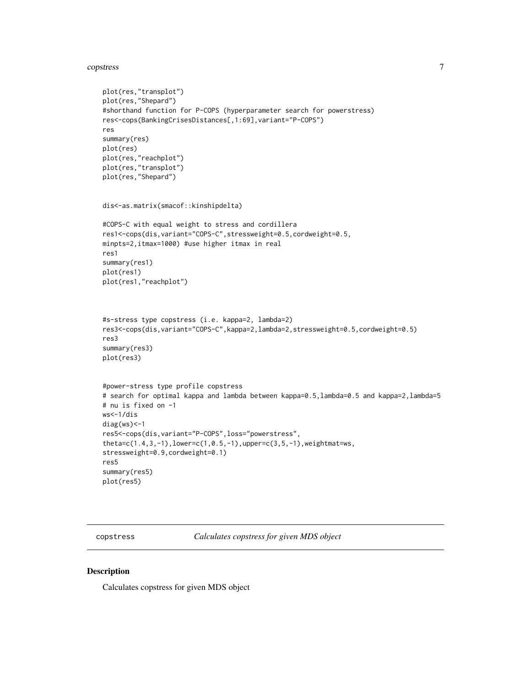#### <span id="page-6-0"></span>copstress 7

```
plot(res,"transplot")
plot(res,"Shepard")
#shorthand function for P-COPS (hyperparameter search for powerstress)
res<-cops(BankingCrisesDistances[,1:69],variant="P-COPS")
res
summary(res)
plot(res)
plot(res,"reachplot")
plot(res,"transplot")
plot(res,"Shepard")
dis<-as.matrix(smacof::kinshipdelta)
#COPS-C with equal weight to stress and cordillera
res1<-cops(dis,variant="COPS-C",stressweight=0.5,cordweight=0.5,
minpts=2,itmax=1000) #use higher itmax in real
res1
summary(res1)
plot(res1)
plot(res1,"reachplot")
#s-stress type copstress (i.e. kappa=2, lambda=2)
res3<-cops(dis,variant="COPS-C",kappa=2,lambda=2,stressweight=0.5,cordweight=0.5)
res3
summary(res3)
plot(res3)
#power-stress type profile copstress
# search for optimal kappa and lambda between kappa=0.5,lambda=0.5 and kappa=2,lambda=5
# nu is fixed on -1
ws<-1/dis
diag(ws)<-1
res5<-cops(dis,variant="P-COPS",loss="powerstress",
theta=c(1.4,3,-1),lower=c(1,0.5,-1),upper=c(3,5,-1),weightmat=ws,
stressweight=0.9,cordweight=0.1)
res5
summary(res5)
plot(res5)
```
copstress *Calculates copstress for given MDS object*

#### Description

Calculates copstress for given MDS object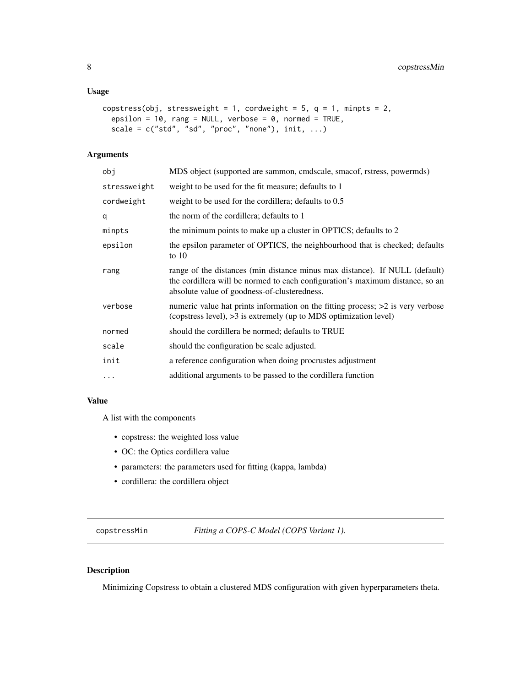#### <span id="page-7-0"></span>Usage

```
copstress(obj, stressweight = 1, cordweight = 5, q = 1, minpts = 2,
 epsilon = 10, rang = NULL, verbose = 0, normed = TRUE,
  scale = c("std", "sd", "proc", "none"), init, ...)
```
#### Arguments

| obj          | MDS object (supported are sammon, cmdscale, smacof, rstress, powermds)                                                                                                                                       |
|--------------|--------------------------------------------------------------------------------------------------------------------------------------------------------------------------------------------------------------|
| stressweight | weight to be used for the fit measure; defaults to 1                                                                                                                                                         |
| cordweight   | weight to be used for the cordillera; defaults to 0.5                                                                                                                                                        |
| q            | the norm of the cordillera; defaults to 1                                                                                                                                                                    |
| minpts       | the minimum points to make up a cluster in OPTICS; defaults to 2                                                                                                                                             |
| epsilon      | the epsilon parameter of OPTICS, the neighbourhood that is checked; defaults<br>to $10$                                                                                                                      |
| rang         | range of the distances (min distance minus max distance). If NULL (default)<br>the cordillera will be normed to each configuration's maximum distance, so an<br>absolute value of goodness-of-clusteredness. |
| verbose      | numeric value hat prints information on the fitting process; $>2$ is very verbose<br>(copstress level), >3 is extremely (up to MDS optimization level)                                                       |
| normed       | should the cordillera be normed; defaults to TRUE                                                                                                                                                            |
| scale        | should the configuration be scale adjusted.                                                                                                                                                                  |
| init         | a reference configuration when doing procrustes adjustment                                                                                                                                                   |
| $\cdots$     | additional arguments to be passed to the cordillera function                                                                                                                                                 |
|              |                                                                                                                                                                                                              |

# Value

A list with the components

- copstress: the weighted loss value
- OC: the Optics cordillera value
- parameters: the parameters used for fitting (kappa, lambda)
- cordillera: the cordillera object

<span id="page-7-1"></span>copstressMin *Fitting a COPS-C Model (COPS Variant 1).*

# Description

Minimizing Copstress to obtain a clustered MDS configuration with given hyperparameters theta.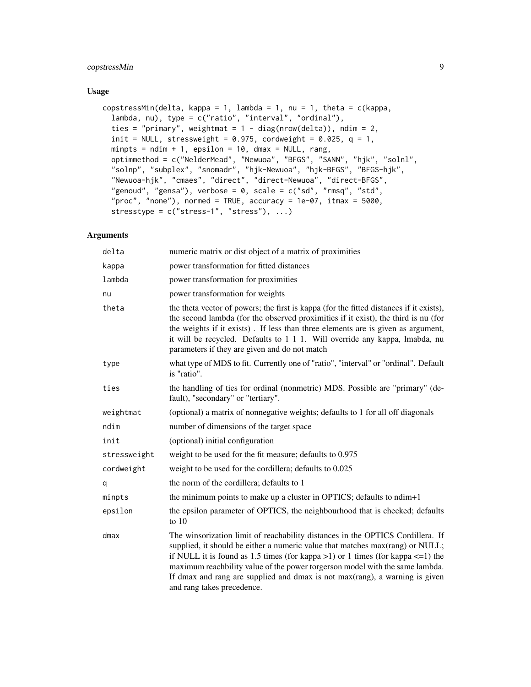# copstressMin 9

#### Usage

```
copstressMin(delta, kappa = 1, lambda = 1, nu = 1, theta = c(kappa,
  lambda, nu), type = c("ratio", "interval", "ordinal"),
  ties = "primary", weightmat = 1 - diag(nrow(delta)), ndim = 2,
  init = NULL, stressweight = 0.975, cordweight = 0.025, q = 1,
 minpts = ndim + 1, epsilon = 10, dmax = NULL, rang,
  optimmethod = c("NelderMead", "Newuoa", "BFGS", "SANN", "hjk", "solnl",
  "solnp", "subplex", "snomadr", "hjk-Newuoa", "hjk-BFGS", "BFGS-hjk",
  "Newuoa-hjk", "cmaes", "direct", "direct-Newuoa", "direct-BFGS",
  "genoud", "gensa"), verbose = 0, scale = c("sd", "rmsq", "std","proc", "none"), normed = TRUE, accuracy = 1e-07, itmax = 5000,
  stresstype = c("stress-1", "stress"), ...)
```

| delta        | numeric matrix or dist object of a matrix of proximities                                                                                                                                                                                                                                                                                                                                                                                                |
|--------------|---------------------------------------------------------------------------------------------------------------------------------------------------------------------------------------------------------------------------------------------------------------------------------------------------------------------------------------------------------------------------------------------------------------------------------------------------------|
| kappa        | power transformation for fitted distances                                                                                                                                                                                                                                                                                                                                                                                                               |
| lambda       | power transformation for proximities                                                                                                                                                                                                                                                                                                                                                                                                                    |
| nu           | power transformation for weights                                                                                                                                                                                                                                                                                                                                                                                                                        |
| theta        | the theta vector of powers; the first is kappa (for the fitted distances if it exists),<br>the second lambda (for the observed proximities if it exist), the third is nu (for<br>the weights if it exists). If less than three elements are is given as argument,<br>it will be recycled. Defaults to 1 1 1. Will override any kappa, lmabda, nu<br>parameters if they are given and do not match                                                       |
| type         | what type of MDS to fit. Currently one of "ratio", "interval" or "ordinal". Default<br>is "ratio".                                                                                                                                                                                                                                                                                                                                                      |
| ties         | the handling of ties for ordinal (nonmetric) MDS. Possible are "primary" (de-<br>fault), "secondary" or "tertiary".                                                                                                                                                                                                                                                                                                                                     |
| weightmat    | (optional) a matrix of nonnegative weights; defaults to 1 for all off diagonals                                                                                                                                                                                                                                                                                                                                                                         |
| ndim         | number of dimensions of the target space                                                                                                                                                                                                                                                                                                                                                                                                                |
| init         | (optional) initial configuration                                                                                                                                                                                                                                                                                                                                                                                                                        |
| stressweight | weight to be used for the fit measure; defaults to 0.975                                                                                                                                                                                                                                                                                                                                                                                                |
| cordweight   | weight to be used for the cordillera; defaults to 0.025                                                                                                                                                                                                                                                                                                                                                                                                 |
| q            | the norm of the cordillera; defaults to 1                                                                                                                                                                                                                                                                                                                                                                                                               |
| minpts       | the minimum points to make up a cluster in OPTICS; defaults to ndim+1                                                                                                                                                                                                                                                                                                                                                                                   |
| epsilon      | the epsilon parameter of OPTICS, the neighbourhood that is checked; defaults<br>to $10$                                                                                                                                                                                                                                                                                                                                                                 |
| dmax         | The winsorization limit of reachability distances in the OPTICS Cordillera. If<br>supplied, it should be either a numeric value that matches max(rang) or NULL;<br>if NULL it is found as 1.5 times (for kappa $>1$ ) or 1 times (for kappa $\leq 1$ ) the<br>maximum reachbility value of the power torgerson model with the same lambda.<br>If dmax and rang are supplied and dmax is not max(rang), a warning is given<br>and rang takes precedence. |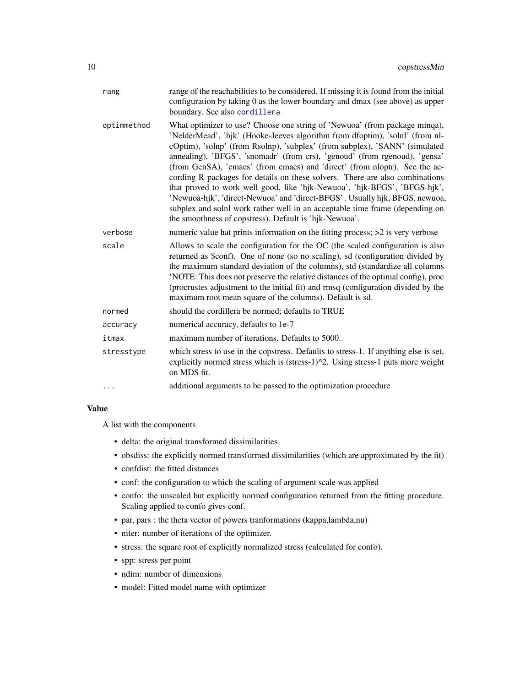<span id="page-9-0"></span>

| rang        | range of the reachabilities to be considered. If missing it is found from the initial<br>configuration by taking 0 as the lower boundary and dmax (see above) as upper<br>boundary. See also cordillera                                                                                                                                                                                                                                                                                                                                                                                                                                                                                                                                                                                     |
|-------------|---------------------------------------------------------------------------------------------------------------------------------------------------------------------------------------------------------------------------------------------------------------------------------------------------------------------------------------------------------------------------------------------------------------------------------------------------------------------------------------------------------------------------------------------------------------------------------------------------------------------------------------------------------------------------------------------------------------------------------------------------------------------------------------------|
| optimmethod | What optimizer to use? Choose one string of 'Newuoa' (from package minqa),<br>'NelderMead', 'hjk' (Hooke-Jeeves algorithm from dfoptim), 'solnl' (from nl-<br>cOptim), 'solnp' (from Rsolnp), 'subplex' (from subplex), 'SANN' (simulated<br>annealing), 'BFGS', 'snomadr' (from crs), 'genoud' (from rgenoud), 'gensa'<br>(from GenSA), 'cmaes' (from cmaes) and 'direct' (from nloptr). See the ac-<br>cording R packages for details on these solvers. There are also combinations<br>that proved to work well good, like 'hjk-Newuoa', 'hjk-BFGS', 'BFGS-hjk',<br>'Newuoa-hik', 'direct-Newuoa' and 'direct-BFGS'. Usually hik, BFGS, newuoa,<br>subplex and solnl work rather well in an acceptable time frame (depending on<br>the smoothness of copstress). Default is 'hjk-Newuoa'. |
| verbose     | numeric value hat prints information on the fitting process; $>2$ is very verbose                                                                                                                                                                                                                                                                                                                                                                                                                                                                                                                                                                                                                                                                                                           |
| scale       | Allows to scale the configuration for the OC (the scaled configuration is also<br>returned as \$conf). One of none (so no scaling), sd (configuration divided by<br>the maximum standard deviation of the columns), std (standardize all columns<br>!NOTE: This does not preserve the relative distances of the optimal config), proc<br>(procrustes adjustment to the initial fit) and rmsq (configuration divided by the<br>maximum root mean square of the columns). Default is sd.                                                                                                                                                                                                                                                                                                      |
| normed      | should the cordillera be normed; defaults to TRUE                                                                                                                                                                                                                                                                                                                                                                                                                                                                                                                                                                                                                                                                                                                                           |
| accuracy    | numerical accuracy, defaults to 1e-7                                                                                                                                                                                                                                                                                                                                                                                                                                                                                                                                                                                                                                                                                                                                                        |
| itmax       | maximum number of iterations. Defaults to 5000.                                                                                                                                                                                                                                                                                                                                                                                                                                                                                                                                                                                                                                                                                                                                             |
| stresstype  | which stress to use in the copstress. Defaults to stress-1. If anything else is set,<br>explicitly normed stress which is (stress-1)^2. Using stress-1 puts more weight<br>on MDS fit.                                                                                                                                                                                                                                                                                                                                                                                                                                                                                                                                                                                                      |
|             | additional arguments to be passed to the optimization procedure                                                                                                                                                                                                                                                                                                                                                                                                                                                                                                                                                                                                                                                                                                                             |
|             |                                                                                                                                                                                                                                                                                                                                                                                                                                                                                                                                                                                                                                                                                                                                                                                             |

#### Value

A list with the components

- delta: the original transformed dissimilarities
- obsdiss: the explicitly normed transformed dissimilarities (which are approximated by the fit)
- confdist: the fitted distances
- conf: the configuration to which the scaling of argument scale was applied
- confo: the unscaled but explicitly normed configuration returned from the fitting procedure. Scaling applied to confo gives conf.
- par, pars : the theta vector of powers tranformations (kappa,lambda,nu)
- niter: number of iterations of the optimizer.
- stress: the square root of explicitly normalized stress (calculated for confo).
- spp: stress per point
- ndim: number of dimensions
- model: Fitted model name with optimizer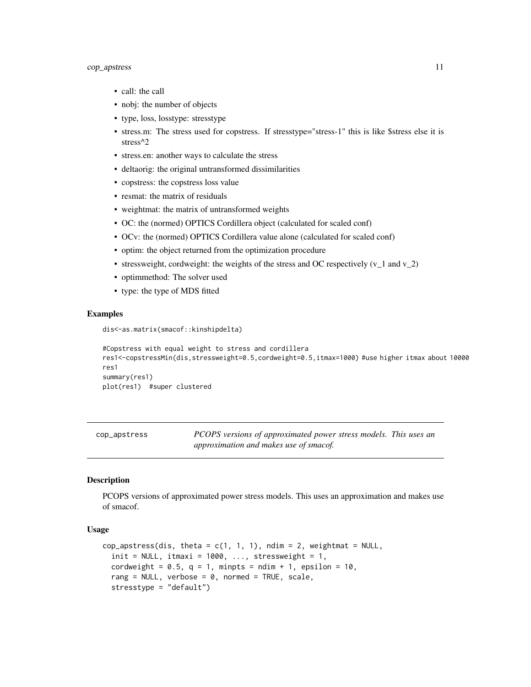# <span id="page-10-0"></span>cop\_apstress 11

- call: the call
- nobj: the number of objects
- type, loss, losstype: stresstype
- stress.m: The stress used for copstress. If stresstype="stress-1" this is like \$stress else it is stress^2
- stress.en: another ways to calculate the stress
- deltaorig: the original untransformed dissimilarities
- copstress: the copstress loss value
- resmat: the matrix of residuals
- weightmat: the matrix of untransformed weights
- OC: the (normed) OPTICS Cordillera object (calculated for scaled conf)
- OCv: the (normed) OPTICS Cordillera value alone (calculated for scaled conf)
- optim: the object returned from the optimization procedure
- stressweight, cordweight: the weights of the stress and OC respectively  $(v_1 \text{ and } v_2)$
- optimmethod: The solver used
- type: the type of MDS fitted

#### Examples

dis<-as.matrix(smacof::kinshipdelta)

```
#Copstress with equal weight to stress and cordillera
res1<-copstressMin(dis,stressweight=0.5,cordweight=0.5,itmax=1000) #use higher itmax about 10000
res1
summary(res1)
plot(res1) #super clustered
```

| cop_apstress | PCOPS versions of approximated power stress models. This uses an |  |
|--------------|------------------------------------------------------------------|--|
|              | approximation and makes use of smacof.                           |  |

#### Description

PCOPS versions of approximated power stress models. This uses an approximation and makes use of smacof.

# Usage

```
cop_apstress(dis, theta = c(1, 1, 1), ndim = 2, weightmat = NULL,
  init = NULL, itmaxi = 1000, ..., stressweight = 1,
  cordweight = 0.5, q = 1, minpts = ndim + 1, epsilon = 10,
  rang = NULL, verbose = 0, normed = TRUE, scale,
  stresstype = "default")
```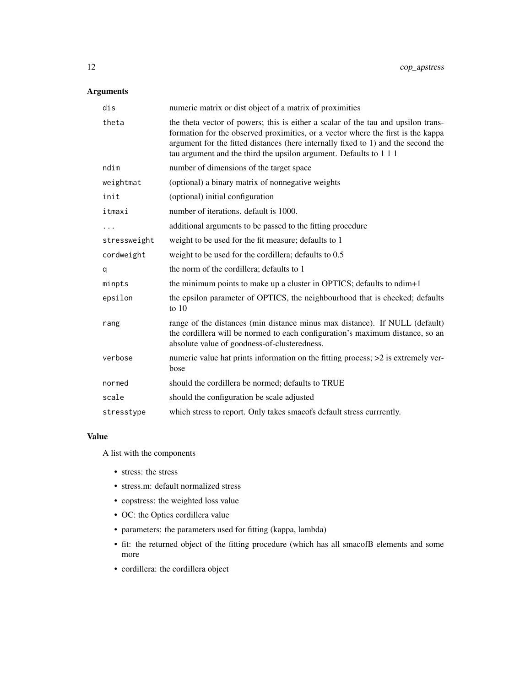# Arguments

| dis          | numeric matrix or dist object of a matrix of proximities                                                                                                                                                                                                                                                                         |
|--------------|----------------------------------------------------------------------------------------------------------------------------------------------------------------------------------------------------------------------------------------------------------------------------------------------------------------------------------|
| theta        | the theta vector of powers; this is either a scalar of the tau and upsilon trans-<br>formation for the observed proximities, or a vector where the first is the kappa<br>argument for the fitted distances (here internally fixed to 1) and the second the<br>tau argument and the third the upsilon argument. Defaults to 1 1 1 |
| ndim         | number of dimensions of the target space                                                                                                                                                                                                                                                                                         |
| weightmat    | (optional) a binary matrix of nonnegative weights                                                                                                                                                                                                                                                                                |
| init         | (optional) initial configuration                                                                                                                                                                                                                                                                                                 |
| itmaxi       | number of iterations, default is 1000.                                                                                                                                                                                                                                                                                           |
| .            | additional arguments to be passed to the fitting procedure                                                                                                                                                                                                                                                                       |
| stressweight | weight to be used for the fit measure; defaults to 1                                                                                                                                                                                                                                                                             |
| cordweight   | weight to be used for the cordillera; defaults to 0.5                                                                                                                                                                                                                                                                            |
| q            | the norm of the cordillera; defaults to 1                                                                                                                                                                                                                                                                                        |
| minpts       | the minimum points to make up a cluster in OPTICS; defaults to ndim+1                                                                                                                                                                                                                                                            |
| epsilon      | the epsilon parameter of OPTICS, the neighbourhood that is checked; defaults<br>to $10$                                                                                                                                                                                                                                          |
| rang         | range of the distances (min distance minus max distance). If NULL (default)<br>the cordillera will be normed to each configuration's maximum distance, so an<br>absolute value of goodness-of-clusteredness.                                                                                                                     |
| verbose      | numeric value hat prints information on the fitting process; $>2$ is extremely ver-<br>bose                                                                                                                                                                                                                                      |
| normed       | should the cordillera be normed; defaults to TRUE                                                                                                                                                                                                                                                                                |
| scale        | should the configuration be scale adjusted                                                                                                                                                                                                                                                                                       |
| stresstype   | which stress to report. Only takes smacofs default stress currrently.                                                                                                                                                                                                                                                            |

# Value

A list with the components

- stress: the stress
- stress.m: default normalized stress
- copstress: the weighted loss value
- OC: the Optics cordillera value
- parameters: the parameters used for fitting (kappa, lambda)
- fit: the returned object of the fitting procedure (which has all smacofB elements and some more
- cordillera: the cordillera object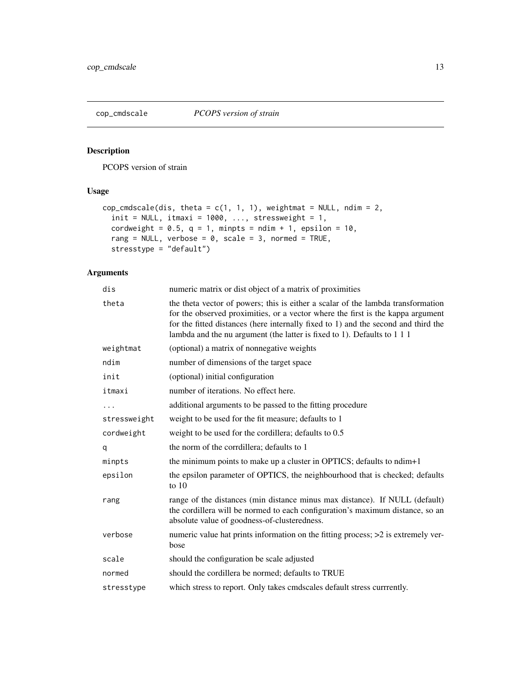<span id="page-12-0"></span>

PCOPS version of strain

# Usage

```
cop_cmdscale(dis, theta = c(1, 1, 1), weightmat = NULL, ndim = 2,
  init = NULL, itmaxi = 1000, ..., stressweight = 1,
 cordweight = 0.5, q = 1, minpts = ndim + 1, epsilon = 10,
 rang = NULL, verbose = 0, scale = 3, normed = TRUE,
 stresstype = "default")
```

| dis          | numeric matrix or dist object of a matrix of proximities                                                                                                                                                                                                                                                                              |
|--------------|---------------------------------------------------------------------------------------------------------------------------------------------------------------------------------------------------------------------------------------------------------------------------------------------------------------------------------------|
| theta        | the theta vector of powers; this is either a scalar of the lambda transformation<br>for the observed proximities, or a vector where the first is the kappa argument<br>for the fitted distances (here internally fixed to 1) and the second and third the<br>lambda and the nu argument (the latter is fixed to 1). Defaults to 1 1 1 |
| weightmat    | (optional) a matrix of nonnegative weights                                                                                                                                                                                                                                                                                            |
| ndim         | number of dimensions of the target space                                                                                                                                                                                                                                                                                              |
| init         | (optional) initial configuration                                                                                                                                                                                                                                                                                                      |
| itmaxi       | number of iterations. No effect here.                                                                                                                                                                                                                                                                                                 |
|              | additional arguments to be passed to the fitting procedure                                                                                                                                                                                                                                                                            |
| stressweight | weight to be used for the fit measure; defaults to 1                                                                                                                                                                                                                                                                                  |
| cordweight   | weight to be used for the cordillera; defaults to 0.5                                                                                                                                                                                                                                                                                 |
| q            | the norm of the corrdillera; defaults to 1                                                                                                                                                                                                                                                                                            |
| minpts       | the minimum points to make up a cluster in OPTICS; defaults to ndim+1                                                                                                                                                                                                                                                                 |
| epsilon      | the epsilon parameter of OPTICS, the neighbourhood that is checked; defaults<br>to $10$                                                                                                                                                                                                                                               |
| rang         | range of the distances (min distance minus max distance). If NULL (default)<br>the cordillera will be normed to each configuration's maximum distance, so an<br>absolute value of goodness-of-clusteredness.                                                                                                                          |
| verbose      | numeric value hat prints information on the fitting process; >2 is extremely ver-<br>bose                                                                                                                                                                                                                                             |
| scale        | should the configuration be scale adjusted                                                                                                                                                                                                                                                                                            |
| normed       | should the cordillera be normed; defaults to TRUE                                                                                                                                                                                                                                                                                     |
| stresstype   | which stress to report. Only takes cmdscales default stress currrently.                                                                                                                                                                                                                                                               |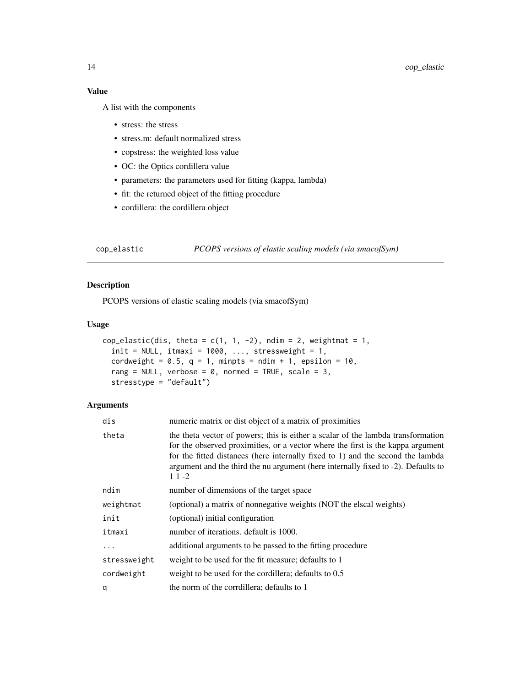# Value

A list with the components

- stress: the stress
- stress.m: default normalized stress
- copstress: the weighted loss value
- OC: the Optics cordillera value
- parameters: the parameters used for fitting (kappa, lambda)
- fit: the returned object of the fitting procedure
- cordillera: the cordillera object

cop\_elastic *PCOPS versions of elastic scaling models (via smacofSym)*

# Description

PCOPS versions of elastic scaling models (via smacofSym)

#### Usage

```
cop_elastic(dis, theta = c(1, 1, -2), ndim = 2, weightmat = 1,
  init = NULL, itmaxi = 1000, ..., stressweight = 1,
  cordweight = 0.5, q = 1, minpts = ndim + 1, epsilon = 10,
  rang = NULL, verbose = 0, normed = TRUE, scale = 3,
  stresstype = "default")
```

| dis          | numeric matrix or dist object of a matrix of proximities                                                                                                                                                                                                                                                                                                |
|--------------|---------------------------------------------------------------------------------------------------------------------------------------------------------------------------------------------------------------------------------------------------------------------------------------------------------------------------------------------------------|
| theta        | the theta vector of powers; this is either a scalar of the lambda transformation<br>for the observed proximities, or a vector where the first is the kappa argument<br>for the fitted distances (here internally fixed to 1) and the second the lambda<br>argument and the third the nu argument (here internally fixed to -2). Defaults to<br>$11 - 2$ |
| ndim         | number of dimensions of the target space                                                                                                                                                                                                                                                                                                                |
| weightmat    | (optional) a matrix of nonnegative weights (NOT the elscal weights)                                                                                                                                                                                                                                                                                     |
| init         | (optional) initial configuration                                                                                                                                                                                                                                                                                                                        |
| itmaxi       | number of iterations. default is 1000.                                                                                                                                                                                                                                                                                                                  |
| $\ddots$ .   | additional arguments to be passed to the fitting procedure                                                                                                                                                                                                                                                                                              |
| stressweight | weight to be used for the fit measure; defaults to 1                                                                                                                                                                                                                                                                                                    |
| cordweight   | weight to be used for the cordillera; defaults to 0.5                                                                                                                                                                                                                                                                                                   |
| q            | the norm of the corrdillera; defaults to 1                                                                                                                                                                                                                                                                                                              |

<span id="page-13-0"></span>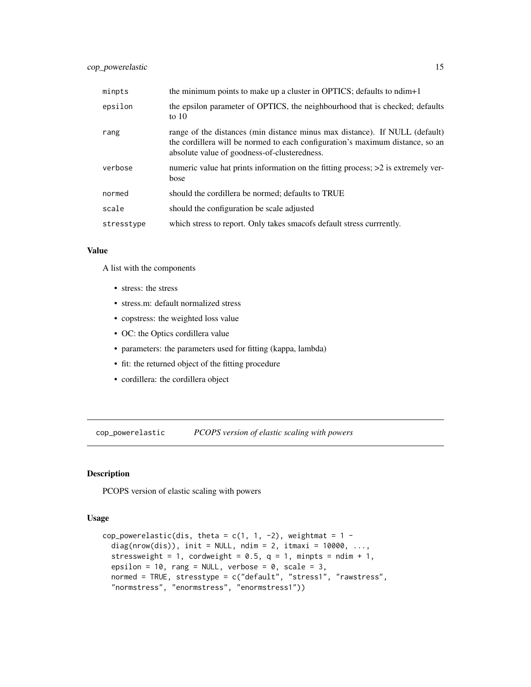<span id="page-14-0"></span>

| minpts     | the minimum points to make up a cluster in OPTICS; defaults to ndim+1                                                                                                                                        |
|------------|--------------------------------------------------------------------------------------------------------------------------------------------------------------------------------------------------------------|
| epsilon    | the epsilon parameter of OPTICS, the neighbourhood that is checked; defaults<br>to $10$                                                                                                                      |
| rang       | range of the distances (min distance minus max distance). If NULL (default)<br>the cordillera will be normed to each configuration's maximum distance, so an<br>absolute value of goodness-of-clusteredness. |
| verbose    | numeric value hat prints information on the fitting process; >2 is extremely ver-<br>bose                                                                                                                    |
| normed     | should the cordillera be normed; defaults to TRUE                                                                                                                                                            |
| scale      | should the configuration be scale adjusted                                                                                                                                                                   |
| stresstype | which stress to report. Only takes smacofs default stress currrently.                                                                                                                                        |

#### Value

A list with the components

- stress: the stress
- stress.m: default normalized stress
- copstress: the weighted loss value
- OC: the Optics cordillera value
- parameters: the parameters used for fitting (kappa, lambda)
- fit: the returned object of the fitting procedure
- cordillera: the cordillera object

cop\_powerelastic *PCOPS version of elastic scaling with powers*

# Description

PCOPS version of elastic scaling with powers

#### Usage

```
cop_powerelastic(dis, theta = c(1, 1, -2), weightmat = 1 -diag(nrow(dis)), init = NULL, ndim = 2, itmaxi = 10000, ...,
  stressweight = 1, cordweight = 0.5, q = 1, minpts = ndim + 1,
  epsilon = 10, rang = NULL, verbose = 0, scale = 3,
 normed = TRUE, stresstype = c("default", "stress1", "rawstress",
  "normstress", "enormstress", "enormstress1"))
```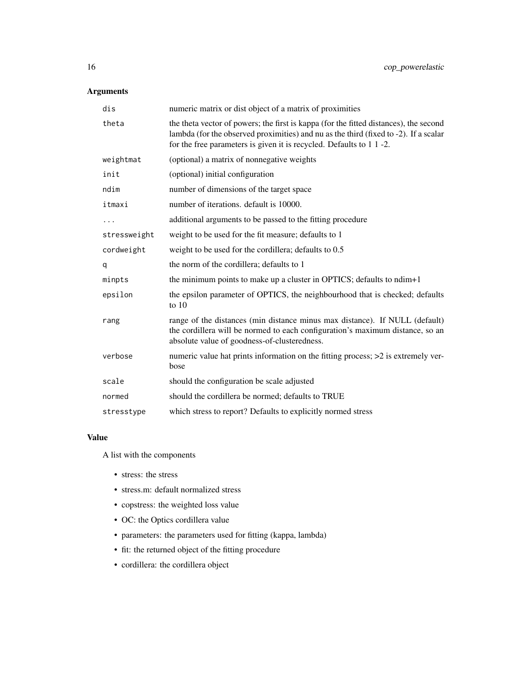# Arguments

| dis          | numeric matrix or dist object of a matrix of proximities                                                                                                                                                                                              |
|--------------|-------------------------------------------------------------------------------------------------------------------------------------------------------------------------------------------------------------------------------------------------------|
| theta        | the theta vector of powers; the first is kappa (for the fitted distances), the second<br>lambda (for the observed proximities) and nu as the third (fixed to -2). If a scalar<br>for the free parameters is given it is recycled. Defaults to 1 1 -2. |
| weightmat    | (optional) a matrix of nonnegative weights                                                                                                                                                                                                            |
| init         | (optional) initial configuration                                                                                                                                                                                                                      |
| ndim         | number of dimensions of the target space                                                                                                                                                                                                              |
| itmaxi       | number of iterations. default is 10000.                                                                                                                                                                                                               |
|              | additional arguments to be passed to the fitting procedure                                                                                                                                                                                            |
| stressweight | weight to be used for the fit measure; defaults to 1                                                                                                                                                                                                  |
| cordweight   | weight to be used for the cordillera; defaults to 0.5                                                                                                                                                                                                 |
| q            | the norm of the cordillera; defaults to 1                                                                                                                                                                                                             |
| minpts       | the minimum points to make up a cluster in OPTICS; defaults to ndim+1                                                                                                                                                                                 |
| epsilon      | the epsilon parameter of OPTICS, the neighbourhood that is checked; defaults<br>to $10$                                                                                                                                                               |
| rang         | range of the distances (min distance minus max distance). If NULL (default)<br>the cordillera will be normed to each configuration's maximum distance, so an<br>absolute value of goodness-of-clusteredness.                                          |
| verbose      | numeric value hat prints information on the fitting process; >2 is extremely ver-<br>bose                                                                                                                                                             |
| scale        | should the configuration be scale adjusted                                                                                                                                                                                                            |
| normed       | should the cordillera be normed; defaults to TRUE                                                                                                                                                                                                     |
| stresstype   | which stress to report? Defaults to explicitly normed stress                                                                                                                                                                                          |

#### Value

A list with the components

- stress: the stress
- stress.m: default normalized stress
- copstress: the weighted loss value
- OC: the Optics cordillera value
- parameters: the parameters used for fitting (kappa, lambda)
- fit: the returned object of the fitting procedure
- cordillera: the cordillera object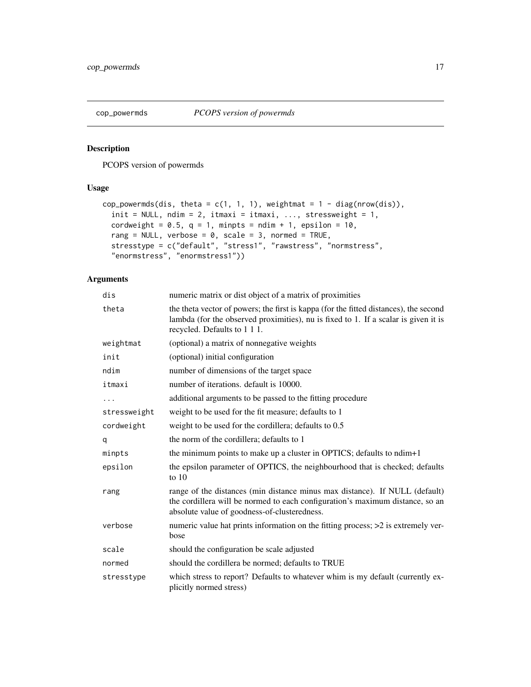<span id="page-16-0"></span>

PCOPS version of powermds

# Usage

```
cop_powermds(dis, theta = c(1, 1, 1), weightmat = 1 - diag(nrow(dis)),
  init = NULL, ndim = 2, itmaxi = itmaxi, ..., stressweight = 1,
  cordweight = 0.5, q = 1, minpts = ndim + 1, epsilon = 10,
  rang = NULL, verbose = 0, scale = 3, normed = TRUE,
  stresstype = c("default", "stress1", "rawstress", "normstress",
  "enormstress", "enormstress1"))
```

| dis          | numeric matrix or dist object of a matrix of proximities                                                                                                                                                     |
|--------------|--------------------------------------------------------------------------------------------------------------------------------------------------------------------------------------------------------------|
| theta        | the theta vector of powers; the first is kappa (for the fitted distances), the second<br>lambda (for the observed proximities), nu is fixed to 1. If a scalar is given it is<br>recycled. Defaults to 111.   |
| weightmat    | (optional) a matrix of nonnegative weights                                                                                                                                                                   |
| init         | (optional) initial configuration                                                                                                                                                                             |
| ndim         | number of dimensions of the target space                                                                                                                                                                     |
| itmaxi       | number of iterations. default is 10000.                                                                                                                                                                      |
|              | additional arguments to be passed to the fitting procedure                                                                                                                                                   |
| stressweight | weight to be used for the fit measure; defaults to 1                                                                                                                                                         |
| cordweight   | weight to be used for the cordillera; defaults to 0.5                                                                                                                                                        |
| q            | the norm of the cordillera; defaults to 1                                                                                                                                                                    |
| minpts       | the minimum points to make up a cluster in OPTICS; defaults to ndim+1                                                                                                                                        |
| epsilon      | the epsilon parameter of OPTICS, the neighbourhood that is checked; defaults<br>to $10$                                                                                                                      |
| rang         | range of the distances (min distance minus max distance). If NULL (default)<br>the cordillera will be normed to each configuration's maximum distance, so an<br>absolute value of goodness-of-clusteredness. |
| verbose      | numeric value hat prints information on the fitting process; >2 is extremely ver-<br>bose                                                                                                                    |
| scale        | should the configuration be scale adjusted                                                                                                                                                                   |
| normed       | should the cordillera be normed; defaults to TRUE                                                                                                                                                            |
| stresstype   | which stress to report? Defaults to whatever whim is my default (currently ex-<br>plicitly normed stress)                                                                                                    |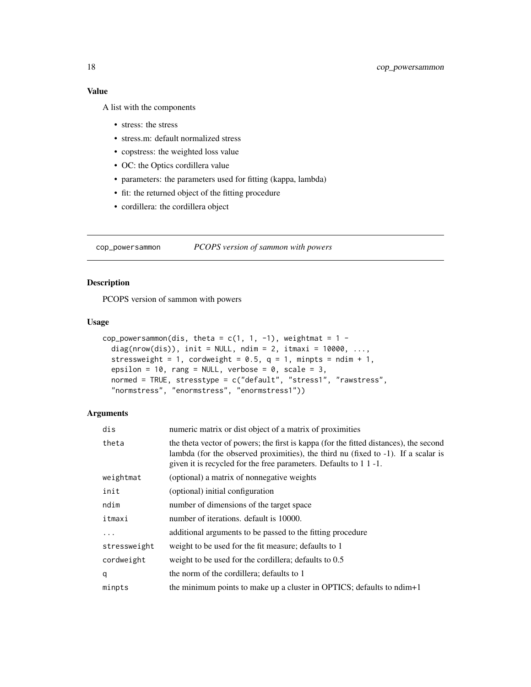<span id="page-17-0"></span>A list with the components

- stress: the stress
- stress.m: default normalized stress
- copstress: the weighted loss value
- OC: the Optics cordillera value
- parameters: the parameters used for fitting (kappa, lambda)
- fit: the returned object of the fitting procedure
- cordillera: the cordillera object

cop\_powersammon *PCOPS version of sammon with powers*

# Description

PCOPS version of sammon with powers

#### Usage

```
cop_powersammon(dis, theta = c(1, 1, -1), weightmat = 1 -diag(nrow(dis)), init = NULL, ndim = 2, itmaxi = 10000, ...,
  stressweight = 1, cordweight = 0.5, q = 1, minpts = ndim + 1,
 epsilon = 10, rang = NULL, verbose = 0, scale = 3,
 normed = TRUE, stresstype = c("default", "stress1", "rawstress",
  "normstress", "enormstress", "enormstress1"))
```

| numeric matrix or dist object of a matrix of proximities                                                                                                                                                                                        |
|-------------------------------------------------------------------------------------------------------------------------------------------------------------------------------------------------------------------------------------------------|
| the theta vector of powers; the first is kappa (for the fitted distances), the second<br>lambda (for the observed proximities), the third nu (fixed to -1). If a scalar is<br>given it is recycled for the free parameters. Defaults to 1 1 -1. |
| (optional) a matrix of nonnegative weights                                                                                                                                                                                                      |
| (optional) initial configuration                                                                                                                                                                                                                |
| number of dimensions of the target space                                                                                                                                                                                                        |
| number of iterations, default is 10000.                                                                                                                                                                                                         |
| additional arguments to be passed to the fitting procedure                                                                                                                                                                                      |
| weight to be used for the fit measure; defaults to 1                                                                                                                                                                                            |
| weight to be used for the cordillera; defaults to 0.5                                                                                                                                                                                           |
| the norm of the cordillera; defaults to 1                                                                                                                                                                                                       |
| the minimum points to make up a cluster in OPTICS; defaults to ndim+1                                                                                                                                                                           |
|                                                                                                                                                                                                                                                 |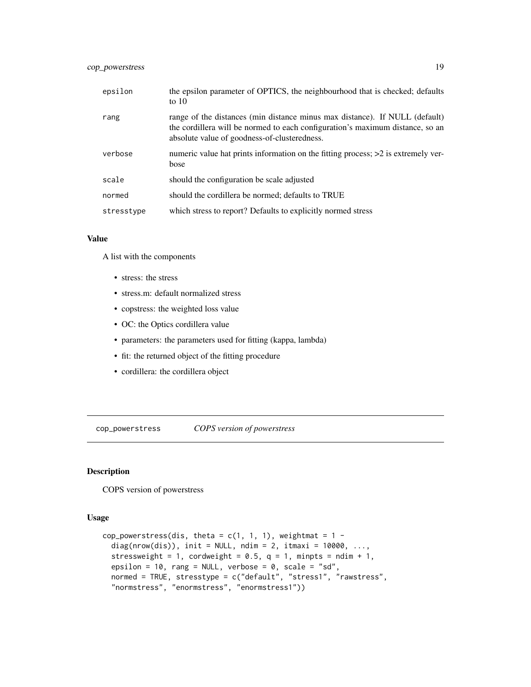# <span id="page-18-0"></span>cop\_powerstress 19

| epsilon    | the epsilon parameter of OPTICS, the neighbourhood that is checked; defaults<br>to $10$                                                                                                                      |
|------------|--------------------------------------------------------------------------------------------------------------------------------------------------------------------------------------------------------------|
| rang       | range of the distances (min distance minus max distance). If NULL (default)<br>the cordillera will be normed to each configuration's maximum distance, so an<br>absolute value of goodness-of-clusteredness. |
| verbose    | numeric value hat prints information on the fitting process; >2 is extremely ver-<br>bose                                                                                                                    |
| scale      | should the configuration be scale adjusted                                                                                                                                                                   |
| normed     | should the cordillera be normed; defaults to TRUE                                                                                                                                                            |
| stresstype | which stress to report? Defaults to explicitly normed stress                                                                                                                                                 |

#### Value

A list with the components

- stress: the stress
- stress.m: default normalized stress
- copstress: the weighted loss value
- OC: the Optics cordillera value
- parameters: the parameters used for fitting (kappa, lambda)
- fit: the returned object of the fitting procedure
- cordillera: the cordillera object

cop\_powerstress *COPS version of powerstress*

#### Description

COPS version of powerstress

#### Usage

```
cop_powerstress(dis, theta = c(1, 1, 1), weightmat = 1 - cdiag(nrow(dis)), init = NULL, ndim = 2, itmaxi = 10000, ...,
  stressweight = 1, cordweight = 0.5, q = 1, minpts = ndim + 1,
  epsilon = 10, rang = NULL, verbose = 0, scale = "sd",
  normed = TRUE, stresstype = c("default", "stress1", "rawstress",
  "normstress", "enormstress", "enormstress1"))
```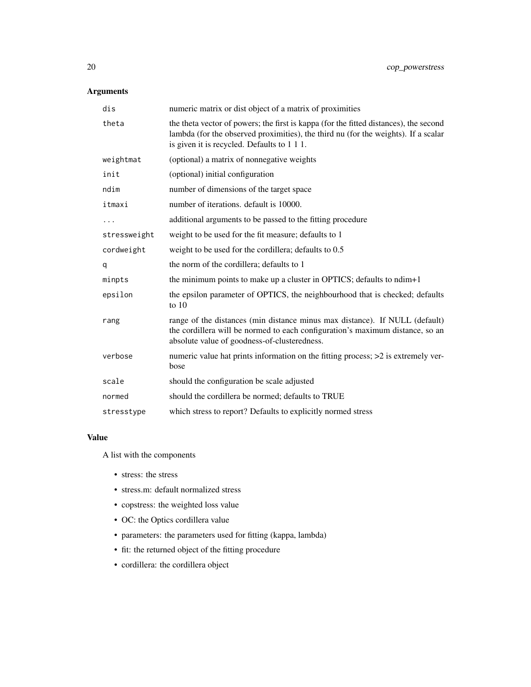# Arguments

| dis          | numeric matrix or dist object of a matrix of proximities                                                                                                                                                                   |
|--------------|----------------------------------------------------------------------------------------------------------------------------------------------------------------------------------------------------------------------------|
| theta        | the theta vector of powers; the first is kappa (for the fitted distances), the second<br>lambda (for the observed proximities), the third nu (for the weights). If a scalar<br>is given it is recycled. Defaults to 1 1 1. |
| weightmat    | (optional) a matrix of nonnegative weights                                                                                                                                                                                 |
| init         | (optional) initial configuration                                                                                                                                                                                           |
| ndim         | number of dimensions of the target space                                                                                                                                                                                   |
| itmaxi       | number of iterations. default is 10000.                                                                                                                                                                                    |
|              | additional arguments to be passed to the fitting procedure                                                                                                                                                                 |
| stressweight | weight to be used for the fit measure; defaults to 1                                                                                                                                                                       |
| cordweight   | weight to be used for the cordillera; defaults to 0.5                                                                                                                                                                      |
| q            | the norm of the cordillera; defaults to 1                                                                                                                                                                                  |
| minpts       | the minimum points to make up a cluster in OPTICS; defaults to ndim+1                                                                                                                                                      |
| epsilon      | the epsilon parameter of OPTICS, the neighbourhood that is checked; defaults<br>to $10$                                                                                                                                    |
| rang         | range of the distances (min distance minus max distance). If NULL (default)<br>the cordillera will be normed to each configuration's maximum distance, so an<br>absolute value of goodness-of-clusteredness.               |
| verbose      | numeric value hat prints information on the fitting process; >2 is extremely ver-<br>bose                                                                                                                                  |
| scale        | should the configuration be scale adjusted                                                                                                                                                                                 |
| normed       | should the cordillera be normed; defaults to TRUE                                                                                                                                                                          |
| stresstype   | which stress to report? Defaults to explicitly normed stress                                                                                                                                                               |

#### Value

A list with the components

- stress: the stress
- stress.m: default normalized stress
- copstress: the weighted loss value
- OC: the Optics cordillera value
- parameters: the parameters used for fitting (kappa, lambda)
- fit: the returned object of the fitting procedure
- cordillera: the cordillera object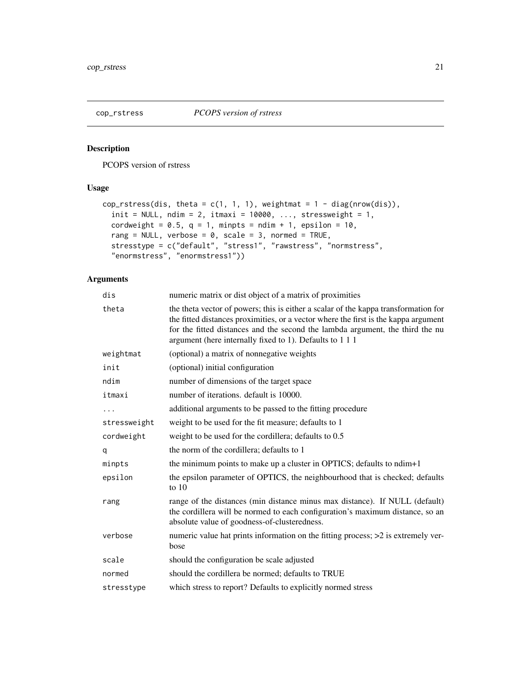<span id="page-20-0"></span>

PCOPS version of rstress

# Usage

```
cop_rstress(dis, theta = c(1, 1, 1), weightmat = 1 - diag(nrow(dis)),
  init = NULL, ndim = 2, itmaxi = 10000, ..., stressweight = 1,
 cordweight = 0.5, q = 1, minpts = ndim + 1, epsilon = 10,
  rang = NULL, verbose = 0, scale = 3, normed = TRUE,
  stresstype = c("default", "stress1", "rawstress", "normstress",
  "enormstress", "enormstress1"))
```

| dis          | numeric matrix or dist object of a matrix of proximities                                                                                                                                                                                                                                                                |
|--------------|-------------------------------------------------------------------------------------------------------------------------------------------------------------------------------------------------------------------------------------------------------------------------------------------------------------------------|
| theta        | the theta vector of powers; this is either a scalar of the kappa transformation for<br>the fitted distances proximities, or a vector where the first is the kappa argument<br>for the fitted distances and the second the lambda argument, the third the nu<br>argument (here internally fixed to 1). Defaults to 1 1 1 |
| weightmat    | (optional) a matrix of nonnegative weights                                                                                                                                                                                                                                                                              |
| init         | (optional) initial configuration                                                                                                                                                                                                                                                                                        |
| ndim         | number of dimensions of the target space                                                                                                                                                                                                                                                                                |
| itmaxi       | number of iterations. default is 10000.                                                                                                                                                                                                                                                                                 |
|              | additional arguments to be passed to the fitting procedure                                                                                                                                                                                                                                                              |
| stressweight | weight to be used for the fit measure; defaults to 1                                                                                                                                                                                                                                                                    |
| cordweight   | weight to be used for the cordillera; defaults to 0.5                                                                                                                                                                                                                                                                   |
| q            | the norm of the cordillera; defaults to 1                                                                                                                                                                                                                                                                               |
| minpts       | the minimum points to make up a cluster in OPTICS; defaults to ndim+1                                                                                                                                                                                                                                                   |
| epsilon      | the epsilon parameter of OPTICS, the neighbourhood that is checked; defaults<br>to $10$                                                                                                                                                                                                                                 |
| rang         | range of the distances (min distance minus max distance). If NULL (default)<br>the cordillera will be normed to each configuration's maximum distance, so an<br>absolute value of goodness-of-clusteredness.                                                                                                            |
| verbose      | numeric value hat prints information on the fitting process; $>2$ is extremely ver-<br>bose                                                                                                                                                                                                                             |
| scale        | should the configuration be scale adjusted                                                                                                                                                                                                                                                                              |
| normed       | should the cordillera be normed; defaults to TRUE                                                                                                                                                                                                                                                                       |
| stresstype   | which stress to report? Defaults to explicitly normed stress                                                                                                                                                                                                                                                            |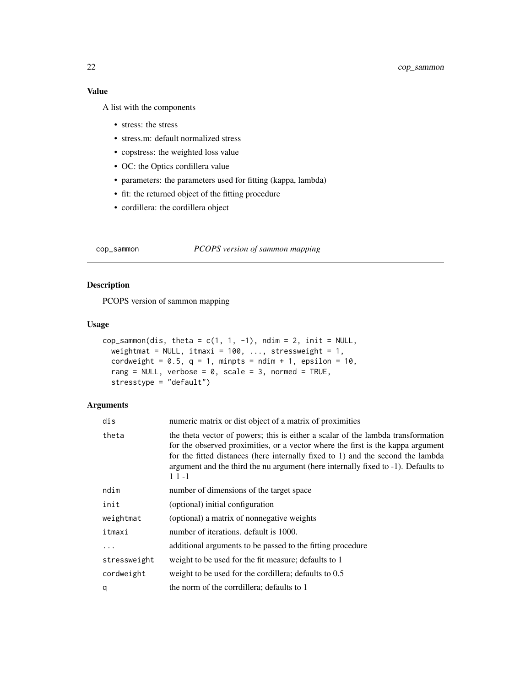<span id="page-21-0"></span>A list with the components

- stress: the stress
- stress.m: default normalized stress
- copstress: the weighted loss value
- OC: the Optics cordillera value
- parameters: the parameters used for fitting (kappa, lambda)
- fit: the returned object of the fitting procedure
- cordillera: the cordillera object

cop\_sammon *PCOPS version of sammon mapping*

# Description

PCOPS version of sammon mapping

#### Usage

```
cop_sammon(dis, theta = c(1, 1, -1), ndim = 2, init = NULL,
 weightmat = NULL, itmaxi = 100, ..., stressweight = 1,
  cordweight = 0.5, q = 1, minpts = ndim + 1, epsilon = 10,
  rang = NULL, verbose = 0, scale = 3, normed = TRUE,
  stresstype = "default")
```

| dis          | numeric matrix or dist object of a matrix of proximities                                                                                                                                                                                                                                                                                                |
|--------------|---------------------------------------------------------------------------------------------------------------------------------------------------------------------------------------------------------------------------------------------------------------------------------------------------------------------------------------------------------|
| theta        | the theta vector of powers; this is either a scalar of the lambda transformation<br>for the observed proximities, or a vector where the first is the kappa argument<br>for the fitted distances (here internally fixed to 1) and the second the lambda<br>argument and the third the nu argument (here internally fixed to -1). Defaults to<br>$11 - 1$ |
| ndim         | number of dimensions of the target space                                                                                                                                                                                                                                                                                                                |
| init         | (optional) initial configuration                                                                                                                                                                                                                                                                                                                        |
| weightmat    | (optional) a matrix of nonnegative weights                                                                                                                                                                                                                                                                                                              |
| itmaxi       | number of iterations, default is 1000.                                                                                                                                                                                                                                                                                                                  |
| .            | additional arguments to be passed to the fitting procedure                                                                                                                                                                                                                                                                                              |
| stressweight | weight to be used for the fit measure; defaults to 1                                                                                                                                                                                                                                                                                                    |
| cordweight   | weight to be used for the cordillera; defaults to 0.5                                                                                                                                                                                                                                                                                                   |
| q            | the norm of the corrdillera; defaults to 1                                                                                                                                                                                                                                                                                                              |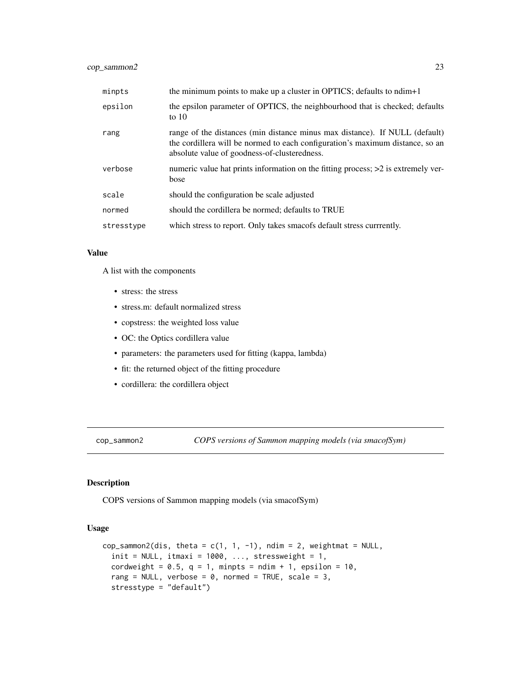<span id="page-22-0"></span>

| minpts     | the minimum points to make up a cluster in OPTICS; defaults to ndim+1                                                                                                                                        |
|------------|--------------------------------------------------------------------------------------------------------------------------------------------------------------------------------------------------------------|
| epsilon    | the epsilon parameter of OPTICS, the neighbourhood that is checked; defaults<br>to $10$                                                                                                                      |
| rang       | range of the distances (min distance minus max distance). If NULL (default)<br>the cordillera will be normed to each configuration's maximum distance, so an<br>absolute value of goodness-of-clusteredness. |
| verbose    | numeric value hat prints information on the fitting process; $>2$ is extremely ver-<br>bose                                                                                                                  |
| scale      | should the configuration be scale adjusted                                                                                                                                                                   |
| normed     | should the cordillera be normed; defaults to TRUE                                                                                                                                                            |
| stresstype | which stress to report. Only takes smacofs default stress currrently.                                                                                                                                        |

#### Value

A list with the components

- stress: the stress
- stress.m: default normalized stress
- copstress: the weighted loss value
- OC: the Optics cordillera value
- parameters: the parameters used for fitting (kappa, lambda)
- fit: the returned object of the fitting procedure
- cordillera: the cordillera object

cop\_sammon2 *COPS versions of Sammon mapping models (via smacofSym)*

# Description

COPS versions of Sammon mapping models (via smacofSym)

#### Usage

```
cop_sammon2(dis, theta = c(1, 1, -1), ndim = 2, weightmat = NULL,
  init = NULL, itmaxi = 1000, ..., stressweight = 1,
  cordweight = 0.5, q = 1, minpts = ndim + 1, epsilon = 10,
  rang = NULL, verbose = 0, normed = TRUE, scale = 3,
  stresstype = "default")
```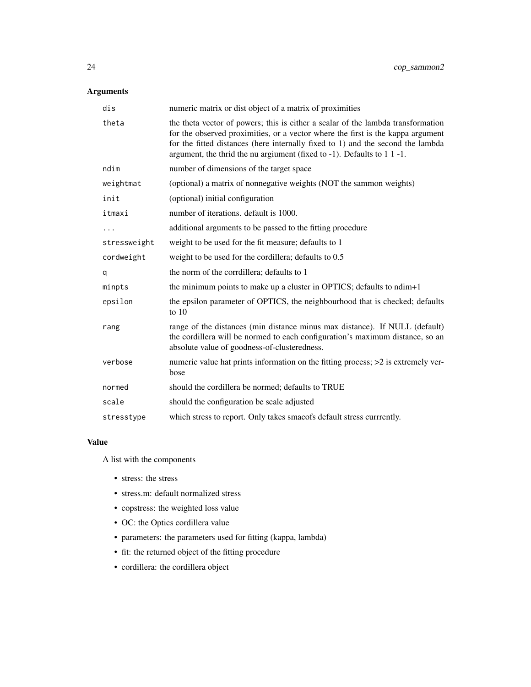# Arguments

| dis          | numeric matrix or dist object of a matrix of proximities                                                                                                                                                                                                                                                                                  |
|--------------|-------------------------------------------------------------------------------------------------------------------------------------------------------------------------------------------------------------------------------------------------------------------------------------------------------------------------------------------|
| theta        | the theta vector of powers; this is either a scalar of the lambda transformation<br>for the observed proximities, or a vector where the first is the kappa argument<br>for the fitted distances (here internally fixed to 1) and the second the lambda<br>argument, the thrid the nu argiument (fixed to $-1$ ). Defaults to $1 \t1 -1$ . |
| ndim         | number of dimensions of the target space                                                                                                                                                                                                                                                                                                  |
| weightmat    | (optional) a matrix of nonnegative weights (NOT the sammon weights)                                                                                                                                                                                                                                                                       |
| init         | (optional) initial configuration                                                                                                                                                                                                                                                                                                          |
| itmaxi       | number of iterations. default is 1000.                                                                                                                                                                                                                                                                                                    |
|              | additional arguments to be passed to the fitting procedure                                                                                                                                                                                                                                                                                |
| stressweight | weight to be used for the fit measure; defaults to 1                                                                                                                                                                                                                                                                                      |
| cordweight   | weight to be used for the cordillera; defaults to 0.5                                                                                                                                                                                                                                                                                     |
| q            | the norm of the corrdillera; defaults to 1                                                                                                                                                                                                                                                                                                |
| minpts       | the minimum points to make up a cluster in OPTICS; defaults to ndim+1                                                                                                                                                                                                                                                                     |
| epsilon      | the epsilon parameter of OPTICS, the neighbourhood that is checked; defaults<br>to $10$                                                                                                                                                                                                                                                   |
| rang         | range of the distances (min distance minus max distance). If NULL (default)<br>the cordillera will be normed to each configuration's maximum distance, so an<br>absolute value of goodness-of-clusteredness.                                                                                                                              |
| verbose      | numeric value hat prints information on the fitting process; >2 is extremely ver-<br>bose                                                                                                                                                                                                                                                 |
| normed       | should the cordillera be normed; defaults to TRUE                                                                                                                                                                                                                                                                                         |
| scale        | should the configuration be scale adjusted                                                                                                                                                                                                                                                                                                |
| stresstype   | which stress to report. Only takes smacofs default stress currrently.                                                                                                                                                                                                                                                                     |

#### Value

A list with the components

- stress: the stress
- stress.m: default normalized stress
- copstress: the weighted loss value
- OC: the Optics cordillera value
- parameters: the parameters used for fitting (kappa, lambda)
- fit: the returned object of the fitting procedure
- cordillera: the cordillera object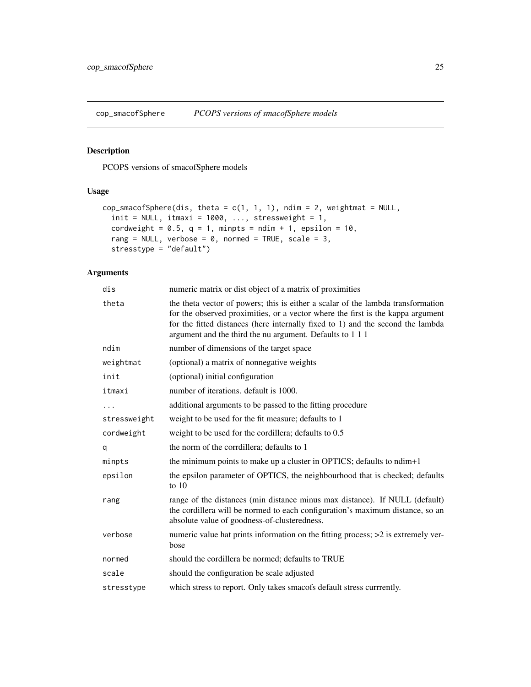<span id="page-24-0"></span>cop\_smacofSphere *PCOPS versions of smacofSphere models*

# Description

PCOPS versions of smacofSphere models

# Usage

```
cop_smacofSphere(dis, theta = c(1, 1, 1), ndim = 2, weightmat = NULL,
  init = NULL, itmaxi = 1000, ..., stressweight = 1,
  cordweight = 0.5, q = 1, minpts = ndim + 1, epsilon = 10,
 rang = NULL, verbose = \theta, normed = TRUE, scale = 3,
 stresstype = "default")
```

| dis          | numeric matrix or dist object of a matrix of proximities                                                                                                                                                                                                                                                            |
|--------------|---------------------------------------------------------------------------------------------------------------------------------------------------------------------------------------------------------------------------------------------------------------------------------------------------------------------|
| theta        | the theta vector of powers; this is either a scalar of the lambda transformation<br>for the observed proximities, or a vector where the first is the kappa argument<br>for the fitted distances (here internally fixed to 1) and the second the lambda<br>argument and the third the nu argument. Defaults to 1 1 1 |
| ndim         | number of dimensions of the target space                                                                                                                                                                                                                                                                            |
| weightmat    | (optional) a matrix of nonnegative weights                                                                                                                                                                                                                                                                          |
| init         | (optional) initial configuration                                                                                                                                                                                                                                                                                    |
| itmaxi       | number of iterations. default is 1000.                                                                                                                                                                                                                                                                              |
|              | additional arguments to be passed to the fitting procedure                                                                                                                                                                                                                                                          |
| stressweight | weight to be used for the fit measure; defaults to 1                                                                                                                                                                                                                                                                |
| cordweight   | weight to be used for the cordillera; defaults to 0.5                                                                                                                                                                                                                                                               |
| q            | the norm of the corrdillera; defaults to 1                                                                                                                                                                                                                                                                          |
| minpts       | the minimum points to make up a cluster in OPTICS; defaults to ndim+1                                                                                                                                                                                                                                               |
| epsilon      | the epsilon parameter of OPTICS, the neighbourhood that is checked; defaults<br>to $10$                                                                                                                                                                                                                             |
| rang         | range of the distances (min distance minus max distance). If NULL (default)<br>the cordillera will be normed to each configuration's maximum distance, so an<br>absolute value of goodness-of-clusteredness.                                                                                                        |
| verbose      | numeric value hat prints information on the fitting process; >2 is extremely ver-<br>bose                                                                                                                                                                                                                           |
| normed       | should the cordillera be normed; defaults to TRUE                                                                                                                                                                                                                                                                   |
| scale        | should the configuration be scale adjusted                                                                                                                                                                                                                                                                          |
| stresstype   | which stress to report. Only takes smacofs default stress currrently.                                                                                                                                                                                                                                               |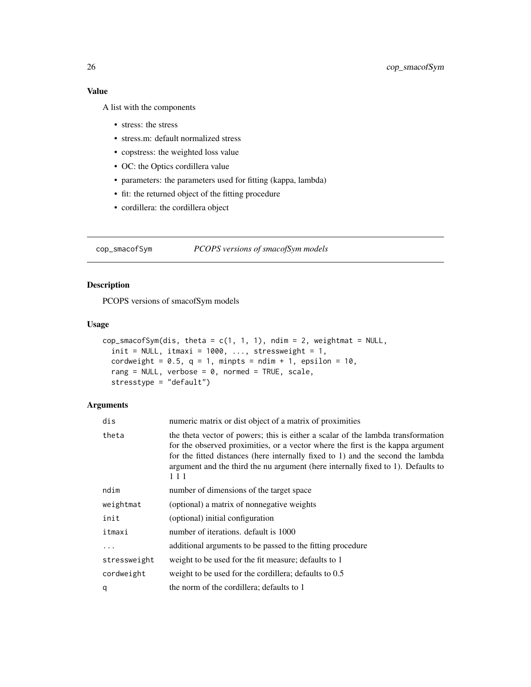A list with the components

- stress: the stress
- stress.m: default normalized stress
- copstress: the weighted loss value
- OC: the Optics cordillera value
- parameters: the parameters used for fitting (kappa, lambda)
- fit: the returned object of the fitting procedure
- cordillera: the cordillera object

cop\_smacofSym *PCOPS versions of smacofSym models*

# Description

PCOPS versions of smacofSym models

#### Usage

```
cop_smacofSym(dis, theta = c(1, 1, 1), ndim = 2, weightmat = NULL,
  init = NULL, itmaxi = 1000, ..., stressweight = 1,
  cordweight = 0.5, q = 1, minpts = ndim + 1, epsilon = 10,
  rang = NULL, verbose = 0, normed = TRUE, scale,
  stresstype = "default")
```

| dis          | numeric matrix or dist object of a matrix of proximities                                                                                                                                                                                                                                                                                          |
|--------------|---------------------------------------------------------------------------------------------------------------------------------------------------------------------------------------------------------------------------------------------------------------------------------------------------------------------------------------------------|
| theta        | the theta vector of powers; this is either a scalar of the lambda transformation<br>for the observed proximities, or a vector where the first is the kappa argument<br>for the fitted distances (here internally fixed to 1) and the second the lambda<br>argument and the third the nu argument (here internally fixed to 1). Defaults to<br>111 |
| ndim         | number of dimensions of the target space                                                                                                                                                                                                                                                                                                          |
| weightmat    | (optional) a matrix of nonnegative weights                                                                                                                                                                                                                                                                                                        |
| init         | (optional) initial configuration                                                                                                                                                                                                                                                                                                                  |
| itmaxi       | number of iterations, default is 1000                                                                                                                                                                                                                                                                                                             |
| $\ddots$ .   | additional arguments to be passed to the fitting procedure                                                                                                                                                                                                                                                                                        |
| stressweight | weight to be used for the fit measure; defaults to 1                                                                                                                                                                                                                                                                                              |
| cordweight   | weight to be used for the cordillera; defaults to 0.5                                                                                                                                                                                                                                                                                             |
| q            | the norm of the cordillera; defaults to 1                                                                                                                                                                                                                                                                                                         |

<span id="page-25-0"></span>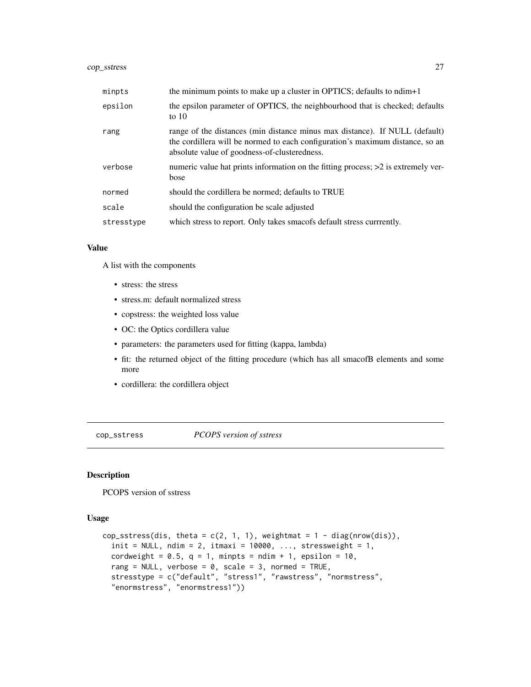# <span id="page-26-0"></span>cop\_sstress 27

| minpts     | the minimum points to make up a cluster in OPTICS; defaults to ndim+1                                                                                                                                        |
|------------|--------------------------------------------------------------------------------------------------------------------------------------------------------------------------------------------------------------|
| epsilon    | the epsilon parameter of OPTICS, the neighbourhood that is checked; defaults<br>to $10$                                                                                                                      |
| rang       | range of the distances (min distance minus max distance). If NULL (default)<br>the cordillera will be normed to each configuration's maximum distance, so an<br>absolute value of goodness-of-clusteredness. |
| verbose    | numeric value hat prints information on the fitting process; >2 is extremely ver-<br>bose                                                                                                                    |
| normed     | should the cordillera be normed; defaults to TRUE                                                                                                                                                            |
| scale      | should the configuration be scale adjusted                                                                                                                                                                   |
| stresstype | which stress to report. Only takes smacofs default stress currrently.                                                                                                                                        |

#### Value

A list with the components

- stress: the stress
- stress.m: default normalized stress
- copstress: the weighted loss value
- OC: the Optics cordillera value
- parameters: the parameters used for fitting (kappa, lambda)
- fit: the returned object of the fitting procedure (which has all smacofB elements and some more
- cordillera: the cordillera object

cop\_sstress *PCOPS version of sstress*

# Description

PCOPS version of sstress

#### Usage

```
cop_sstress(dis, theta = c(2, 1, 1), weightmat = 1 - diag(nrow(dis)),
  init = NULL, ndim = 2, itmaxi = 10000, ..., stressweight = 1,
  cordweight = 0.5, q = 1, minpts = ndim + 1, epsilon = 10,
  rang = NULL, verbose = 0, scale = 3, normed = TRUE,
  stresstype = c("default", "stress1", "rawstress", "normstress",
  "enormstress", "enormstress1"))
```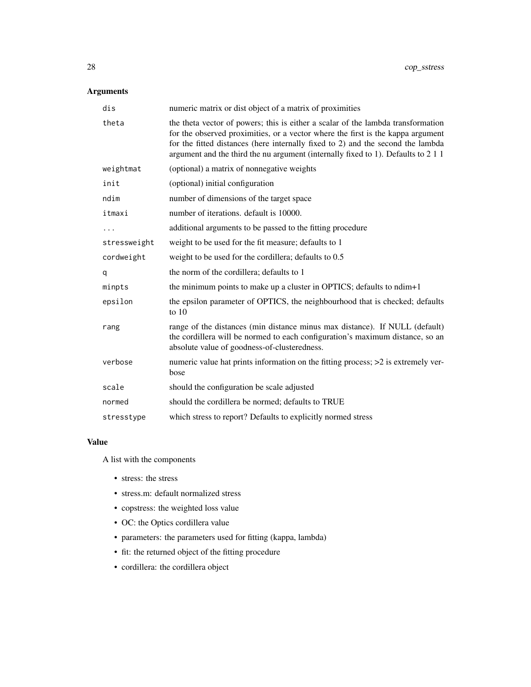# Arguments

| dis          | numeric matrix or dist object of a matrix of proximities                                                                                                                                                                                                                                                                                    |
|--------------|---------------------------------------------------------------------------------------------------------------------------------------------------------------------------------------------------------------------------------------------------------------------------------------------------------------------------------------------|
| theta        | the theta vector of powers; this is either a scalar of the lambda transformation<br>for the observed proximities, or a vector where the first is the kappa argument<br>for the fitted distances (here internally fixed to 2) and the second the lambda<br>argument and the third the nu argument (internally fixed to 1). Defaults to 2 1 1 |
| weightmat    | (optional) a matrix of nonnegative weights                                                                                                                                                                                                                                                                                                  |
| init         | (optional) initial configuration                                                                                                                                                                                                                                                                                                            |
| ndim         | number of dimensions of the target space                                                                                                                                                                                                                                                                                                    |
| itmaxi       | number of iterations. default is 10000.                                                                                                                                                                                                                                                                                                     |
|              | additional arguments to be passed to the fitting procedure                                                                                                                                                                                                                                                                                  |
| stressweight | weight to be used for the fit measure; defaults to 1                                                                                                                                                                                                                                                                                        |
| cordweight   | weight to be used for the cordillera; defaults to 0.5                                                                                                                                                                                                                                                                                       |
| q            | the norm of the cordillera; defaults to 1                                                                                                                                                                                                                                                                                                   |
| minpts       | the minimum points to make up a cluster in OPTICS; defaults to ndim+1                                                                                                                                                                                                                                                                       |
| epsilon      | the epsilon parameter of OPTICS, the neighbourhood that is checked; defaults<br>to $10$                                                                                                                                                                                                                                                     |
| rang         | range of the distances (min distance minus max distance). If NULL (default)<br>the cordillera will be normed to each configuration's maximum distance, so an<br>absolute value of goodness-of-clusteredness.                                                                                                                                |
| verbose      | numeric value hat prints information on the fitting process; >2 is extremely ver-<br>bose                                                                                                                                                                                                                                                   |
| scale        | should the configuration be scale adjusted                                                                                                                                                                                                                                                                                                  |
| normed       | should the cordillera be normed; defaults to TRUE                                                                                                                                                                                                                                                                                           |
| stresstype   | which stress to report? Defaults to explicitly normed stress                                                                                                                                                                                                                                                                                |

#### Value

A list with the components

- stress: the stress
- stress.m: default normalized stress
- copstress: the weighted loss value
- OC: the Optics cordillera value
- parameters: the parameters used for fitting (kappa, lambda)
- fit: the returned object of the fitting procedure
- cordillera: the cordillera object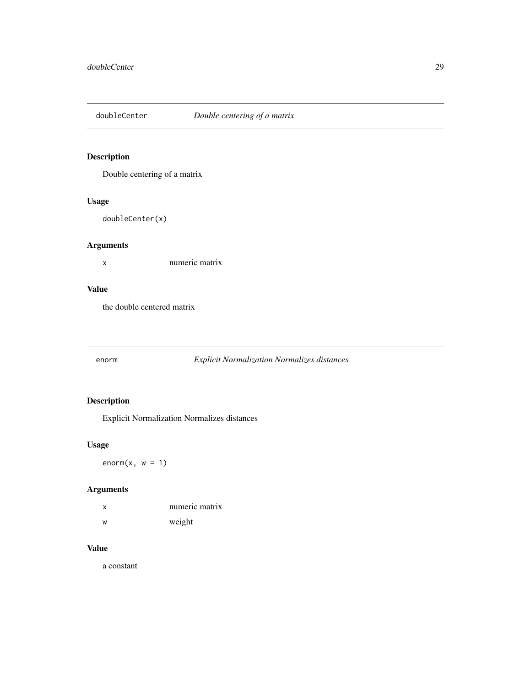<span id="page-28-0"></span>

Double centering of a matrix

# Usage

doubleCenter(x)

# Arguments

x numeric matrix

# Value

the double centered matrix

enorm *Explicit Normalization Normalizes distances*

# Description

Explicit Normalization Normalizes distances

# Usage

 $enorm(x, w = 1)$ 

# Arguments

| $\mathsf{x}$ | numeric matrix |
|--------------|----------------|
| W            | weight         |

#### Value

a constant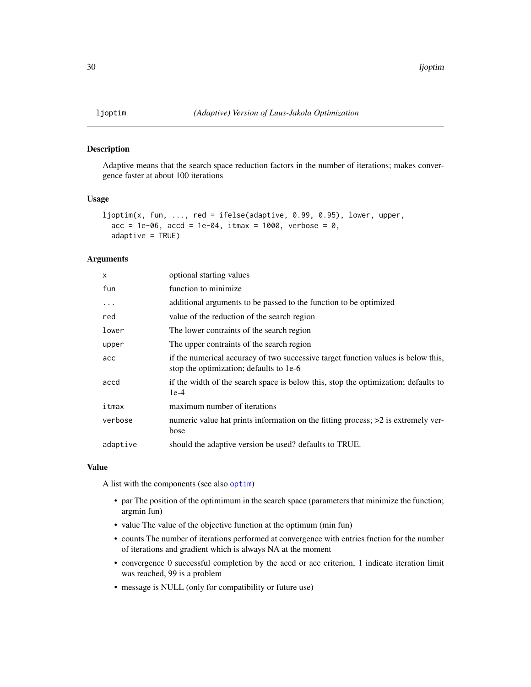Adaptive means that the search space reduction factors in the number of iterations; makes convergence faster at about 100 iterations

#### Usage

```
ljoptim(x, fun, ..., red = ifelse(adaptive, 0.99, 0.95), lower, upper,
  acc = 1e-06, acc = 1e-04, itmax = 1000, verbose = 0,
  adaptive = TRUE)
```
#### Arguments

| $\times$  | optional starting values                                                                                                     |
|-----------|------------------------------------------------------------------------------------------------------------------------------|
| fun       | function to minimize                                                                                                         |
| $\ddotsc$ | additional arguments to be passed to the function to be optimized                                                            |
| red       | value of the reduction of the search region                                                                                  |
| lower     | The lower contraints of the search region                                                                                    |
| upper     | The upper contraints of the search region                                                                                    |
| acc       | if the numerical accuracy of two successive target function values is below this,<br>stop the optimization; defaults to 1e-6 |
| accd      | if the width of the search space is below this, stop the optimization; defaults to<br>$1e-4$                                 |
| itmax     | maximum number of iterations                                                                                                 |
| verbose   | numeric value hat prints information on the fitting process; >2 is extremely ver-<br>bose                                    |
| adaptive  | should the adaptive version be used? defaults to TRUE.                                                                       |

#### Value

A list with the components (see also [optim](#page-0-0))

- par The position of the optimimum in the search space (parameters that minimize the function; argmin fun)
- value The value of the objective function at the optimum (min fun)
- counts The number of iterations performed at convergence with entries fnction for the number of iterations and gradient which is always NA at the moment
- convergence 0 successful completion by the accd or acc criterion, 1 indicate iteration limit was reached, 99 is a problem
- message is NULL (only for compatibility or future use)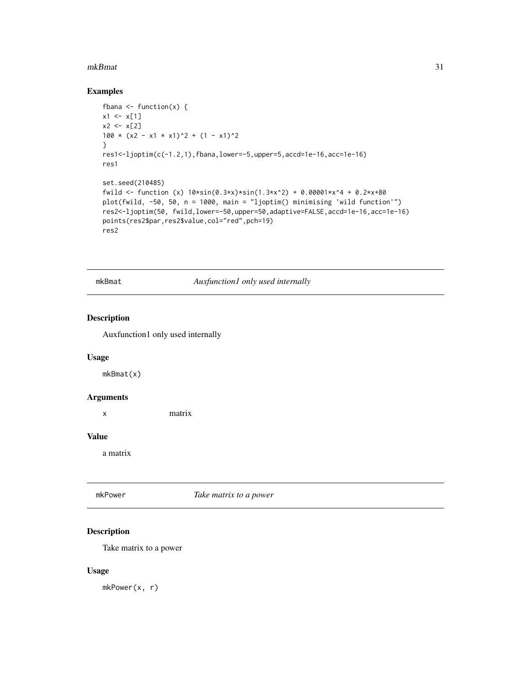#### <span id="page-30-0"></span>mkBmat 31

# Examples

```
fbana \leq function(x) {
x1 \leftarrow x[1]x2 < - x[2]100 \times (x2 - x1 \times x1)^2 + (1 - x1)^2}
res1<-ljoptim(c(-1.2,1),fbana,lower=-5,upper=5,accd=1e-16,acc=1e-16)
res1
set.seed(210485)
fwild <- function (x) 10*sin(0.3*x)*sin(1.3*x^2) + 0.00001*x^4 + 0.2*x+80
plot(fwild, -50, 50, n = 1000, main = "ljoptim() minimising 'wild function'")
res2<-ljoptim(50, fwild,lower=-50,upper=50,adaptive=FALSE,accd=1e-16,acc=1e-16)
points(res2$par,res2$value,col="red",pch=19)
res2
```
mkBmat *Auxfunction1 only used internally*

#### Description

Auxfunction1 only used internally

# Usage

mkBmat(x)

#### Arguments

x matrix

#### Value

a matrix

mkPower *Take matrix to a power*

# Description

Take matrix to a power

#### Usage

mkPower(x, r)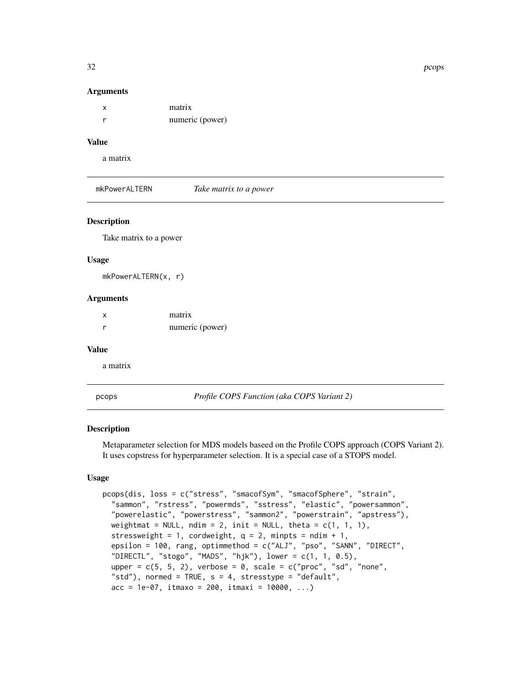#### Arguments

| matrix          |
|-----------------|
| numeric (power) |

# Value

a matrix

mkPowerALTERN *Take matrix to a power*

#### Description

Take matrix to a power

#### Usage

mkPowerALTERN(x, r)

#### Arguments

| X | matrix          |
|---|-----------------|
|   | numeric (power) |

#### Value

a matrix

<span id="page-31-1"></span>pcops *Profile COPS Function (aka COPS Variant 2)*

#### Description

Metaparameter selection for MDS models baseed on the Profile COPS approach (COPS Variant 2). It uses copstress for hyperparameter selection. It is a special case of a STOPS model.

#### Usage

```
pcops(dis, loss = c("stress", "smacofSym", "smacofSphere", "strain",
  "sammon", "rstress", "powermds", "sstress", "elastic", "powersammon",
  "powerelastic", "powerstress", "sammon2", "powerstrain", "apstress"),
 weightmat = NULL, ndim = 2, init = NULL, theta = c(1, 1, 1),
  stressweight = 1, cordweight, q = 2, minpts = ndim + 1,
  epsilon = 100, rang, optimmethod = c("ALJ", "pso", "SANN", "DIRECT",
  "DIRECTL", "stogo", "MADS", "hjk"), lower = c(1, 1, 0.5),
  upper = c(5, 5, 2), verbose = 0, scale = c("proc", "sd", "none","std"), normed = TRUE, s = 4, stresstype = "default",
  acc = 1e-07, itmaxo = 200, itmaxi = 10000, ...)
```
<span id="page-31-0"></span>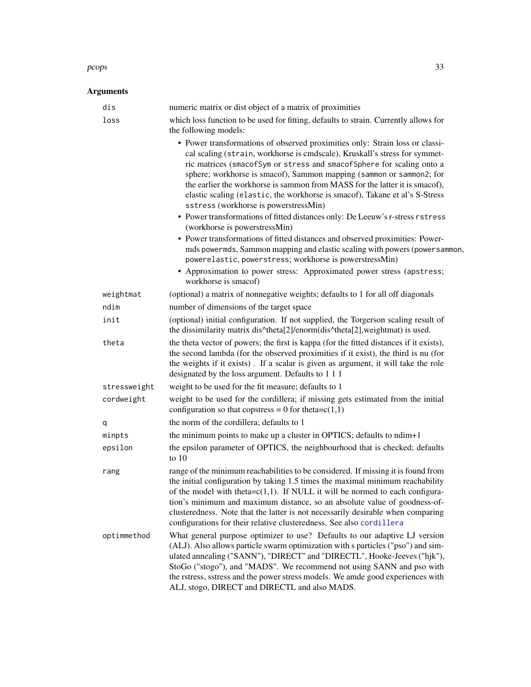#### <span id="page-32-0"></span>pcops 33

| dis          | numeric matrix or dist object of a matrix of proximities                                                                                                                                                                                                                                                                                                                                                                                                                                                           |
|--------------|--------------------------------------------------------------------------------------------------------------------------------------------------------------------------------------------------------------------------------------------------------------------------------------------------------------------------------------------------------------------------------------------------------------------------------------------------------------------------------------------------------------------|
| loss         | which loss function to be used for fitting, defaults to strain. Currently allows for<br>the following models:                                                                                                                                                                                                                                                                                                                                                                                                      |
|              | • Power transformations of observed proximities only: Strain loss or classi-<br>cal scaling (strain, workhorse is cmdscale), Kruskall's stress for symmet-<br>ric matrices (smacofSym or stress and smacofSphere for scaling onto a<br>sphere; workhorse is smacof), Sammon mapping (sammon or sammon2; for<br>the earlier the workhorse is sammon from MASS for the latter it is smacof),<br>elastic scaling (elastic, the workhorse is smacof), Takane et al's S-Stress<br>sstress (workhorse is powerstressMin) |
|              | • Power transformations of fitted distances only: De Leeuw's r-stress rstress<br>(workhorse is powerstressMin)                                                                                                                                                                                                                                                                                                                                                                                                     |
|              | • Power transformations of fitted distances and observed proximities: Power-<br>mds powermds, Sammon mapping and elastic scaling with powers (powersammon,<br>powerelastic, powerstress; workhorse is powerstressMin)                                                                                                                                                                                                                                                                                              |
|              | • Approximation to power stress: Approximated power stress (apstress;<br>workhorse is smacof)                                                                                                                                                                                                                                                                                                                                                                                                                      |
| weightmat    | (optional) a matrix of nonnegative weights; defaults to 1 for all off diagonals                                                                                                                                                                                                                                                                                                                                                                                                                                    |
| ndim         | number of dimensions of the target space                                                                                                                                                                                                                                                                                                                                                                                                                                                                           |
| init         | (optional) initial configuration. If not supplied, the Torgerson scaling result of<br>the dissimilarity matrix dis^theta[2]/enorm(dis^theta[2],weightmat) is used.                                                                                                                                                                                                                                                                                                                                                 |
| theta        | the theta vector of powers; the first is kappa (for the fitted distances if it exists),<br>the second lambda (for the observed proximities if it exist), the third is nu (for<br>the weights if it exists). If a scalar is given as argument, it will take the role<br>designated by the loss argument. Defaults to 1 1 1                                                                                                                                                                                          |
| stressweight | weight to be used for the fit measure; defaults to 1                                                                                                                                                                                                                                                                                                                                                                                                                                                               |
| cordweight   | weight to be used for the cordillera; if missing gets estimated from the initial<br>configuration so that copstress = 0 for theta= $c(1,1)$                                                                                                                                                                                                                                                                                                                                                                        |
| q            | the norm of the cordillera; defaults to 1                                                                                                                                                                                                                                                                                                                                                                                                                                                                          |
| minpts       | the minimum points to make up a cluster in OPTICS; defaults to ndim+1                                                                                                                                                                                                                                                                                                                                                                                                                                              |
| epsilon      | the epsilon parameter of OPTICS, the neighbourhood that is checked; defaults<br>to $10$                                                                                                                                                                                                                                                                                                                                                                                                                            |
| rang         | range of the minimum reachabilities to be considered. If missing it is found from<br>the initial configuration by taking 1.5 times the maximal minimum reachability<br>of the model with theta= $c(1,1)$ . If NULL it will be normed to each configura-<br>tion's minimum and maximum distance, so an absolute value of goodness-of-<br>clusteredness. Note that the latter is not necessarily desirable when comparing<br>configurations for their relative clusteredness. See also cordillera                    |
| optimmethod  | What general purpose optimizer to use? Defaults to our adaptive LJ version<br>(ALJ). Also allows particle swarm optimization with s particles ("pso") and sim-<br>ulated annealing ("SANN"), "DIRECT" and "DIRECTL", Hooke-Jeeves ("hjk"),<br>StoGo ("stogo"), and "MADS". We recommend not using SANN and pso with<br>the rstress, sstress and the power stress models. We amde good experiences with<br>ALJ, stogo, DIRECT and DIRECTL and also MADS.                                                            |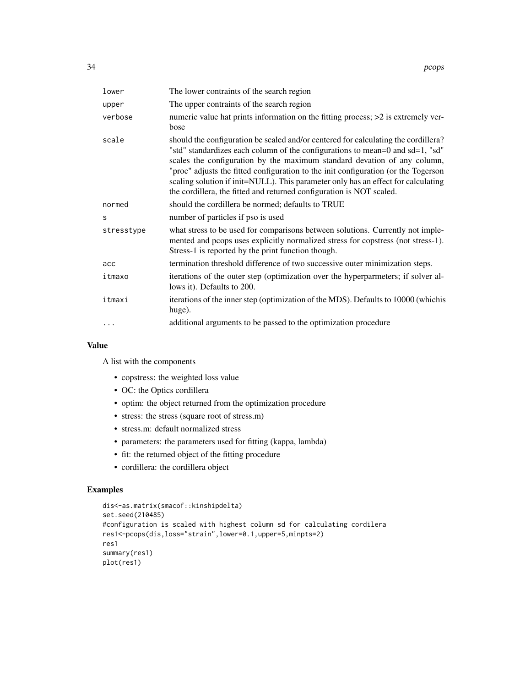| lower      | The lower contraints of the search region                                                                                                                                                                                                                                                                                                                                                                                                                                                          |
|------------|----------------------------------------------------------------------------------------------------------------------------------------------------------------------------------------------------------------------------------------------------------------------------------------------------------------------------------------------------------------------------------------------------------------------------------------------------------------------------------------------------|
| upper      | The upper contraints of the search region                                                                                                                                                                                                                                                                                                                                                                                                                                                          |
| verbose    | numeric value hat prints information on the fitting process; >2 is extremely ver-<br>bose                                                                                                                                                                                                                                                                                                                                                                                                          |
| scale      | should the configuration be scaled and/or centered for calculating the cordillera?<br>"std" standardizes each column of the configurations to mean=0 and sd=1, "sd"<br>scales the configuration by the maximum standard devation of any column,<br>"proc" adjusts the fitted configuration to the init configuration (or the Togerson<br>scaling solution if init=NULL). This parameter only has an effect for calculating<br>the cordillera, the fitted and returned configuration is NOT scaled. |
| normed     | should the cordillera be normed; defaults to TRUE                                                                                                                                                                                                                                                                                                                                                                                                                                                  |
| S          | number of particles if pso is used                                                                                                                                                                                                                                                                                                                                                                                                                                                                 |
| stresstype | what stress to be used for comparisons between solutions. Currently not imple-<br>mented and pcops uses explicitly normalized stress for copstress (not stress-1).<br>Stress-1 is reported by the print function though.                                                                                                                                                                                                                                                                           |
| acc        | termination threshold difference of two successive outer minimization steps.                                                                                                                                                                                                                                                                                                                                                                                                                       |
| itmaxo     | iterations of the outer step (optimization over the hyperparmeters; if solver al-<br>lows it). Defaults to 200.                                                                                                                                                                                                                                                                                                                                                                                    |
| itmaxi     | iterations of the inner step (optimization of the MDS). Defaults to 10000 (which is<br>huge).                                                                                                                                                                                                                                                                                                                                                                                                      |
| $\cdots$   | additional arguments to be passed to the optimization procedure                                                                                                                                                                                                                                                                                                                                                                                                                                    |

#### Value

A list with the components

- copstress: the weighted loss value
- OC: the Optics cordillera
- optim: the object returned from the optimization procedure
- stress: the stress (square root of stress.m)
- stress.m: default normalized stress
- parameters: the parameters used for fitting (kappa, lambda)
- fit: the returned object of the fitting procedure
- cordillera: the cordillera object

#### Examples

```
dis<-as.matrix(smacof::kinshipdelta)
set.seed(210485)
#configuration is scaled with highest column sd for calculating cordilera
res1<-pcops(dis,loss="strain",lower=0.1,upper=5,minpts=2)
res1
summary(res1)
plot(res1)
```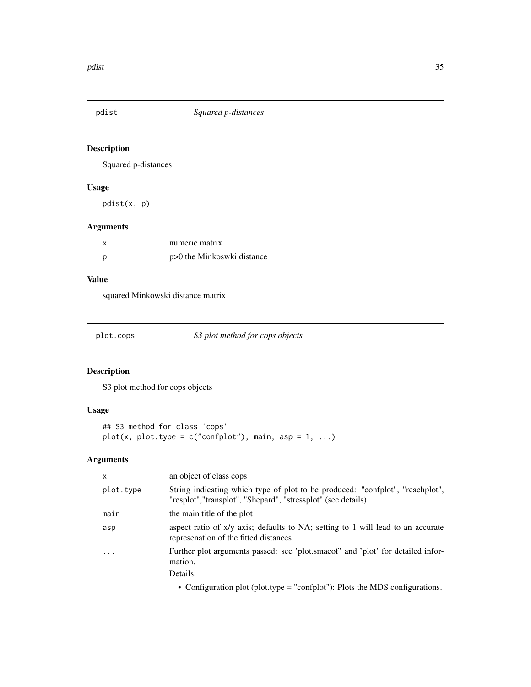<span id="page-34-0"></span>

Squared p-distances

# Usage

pdist(x, p)

# Arguments

| X | numeric matrix             |
|---|----------------------------|
| р | p>0 the Minkoswki distance |

#### Value

squared Minkowski distance matrix

| plot.cops | S3 plot method for cops objects |
|-----------|---------------------------------|
|           |                                 |

# Description

S3 plot method for cops objects

# Usage

```
## S3 method for class 'cops'
plot(x, plot_type = c("confplot"), main, asp = 1, ...)
```

| $\mathsf{x}$            | an object of class cops                                                                                                                                    |
|-------------------------|------------------------------------------------------------------------------------------------------------------------------------------------------------|
| plot.type               | String indicating which type of plot to be produced: "confplot", "reachplot",<br>"resplot","transplot", "Shepard", "stressplot" (see details)              |
| main                    | the main title of the plot                                                                                                                                 |
| asp                     | aspect ratio of x/y axis; defaults to NA; setting to 1 will lead to an accurate<br>represenation of the fitted distances.                                  |
| $\cdot$ $\cdot$ $\cdot$ | Further plot arguments passed: see 'plot.smacof' and 'plot' for detailed infor-<br>mation.                                                                 |
|                         | Details:                                                                                                                                                   |
|                         | $\sim$ $\alpha$ , $\alpha$ and $\sim$ $\alpha$ and $\alpha$ and $\alpha$ is the set of $\alpha$ is the set of $\alpha$ and $\alpha$ is the set of $\alpha$ |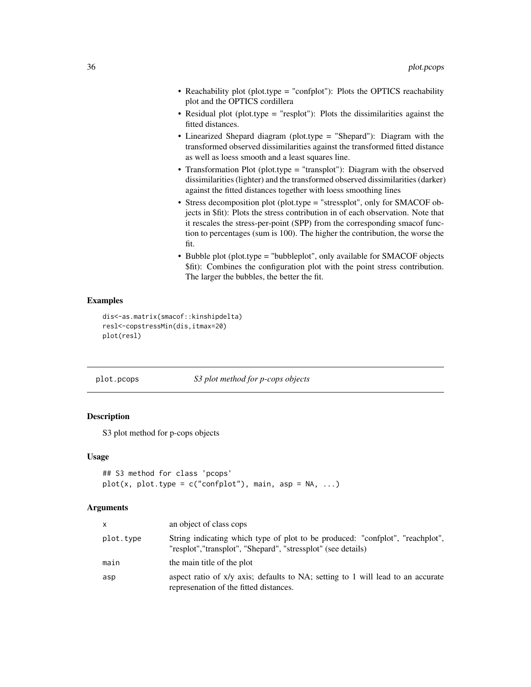- <span id="page-35-0"></span>• Reachability plot (plot.type = "confplot"): Plots the OPTICS reachability plot and the OPTICS cordillera
- Residual plot (plot.type = "resplot"): Plots the dissimilarities against the fitted distances.
- Linearized Shepard diagram (plot.type = "Shepard"): Diagram with the transformed observed dissimilarities against the transformed fitted distance as well as loess smooth and a least squares line.
- Transformation Plot (plot.type = "transplot"): Diagram with the observed dissimilarities (lighter) and the transformed observed dissimilarities (darker) against the fitted distances together with loess smoothing lines
- Stress decomposition plot (plot.type = "stressplot", only for SMACOF objects in \$fit): Plots the stress contribution in of each observation. Note that it rescales the stress-per-point (SPP) from the corresponding smacof function to percentages (sum is 100). The higher the contribution, the worse the fit.
- Bubble plot (plot.type = "bubbleplot", only available for SMACOF objects \$fit): Combines the configuration plot with the point stress contribution. The larger the bubbles, the better the fit.

# Examples

```
dis<-as.matrix(smacof::kinshipdelta)
resl<-copstressMin(dis,itmax=20)
plot(resl)
```
plot.pcops *S3 plot method for p-cops objects*

#### Description

S3 plot method for p-cops objects

#### Usage

```
## S3 method for class 'pcops'
plot(x, plot_type = c("confplot"), main, asp = NA, ...)
```

| $\mathsf{x}$ | an object of class cops                                                                                                                       |
|--------------|-----------------------------------------------------------------------------------------------------------------------------------------------|
| plot.type    | String indicating which type of plot to be produced: "confplot", "reachplot",<br>"resplot","transplot", "Shepard", "stressplot" (see details) |
| main         | the main title of the plot                                                                                                                    |
| asp          | aspect ratio of x/y axis; defaults to NA; setting to 1 will lead to an accurate<br>represenation of the fitted distances.                     |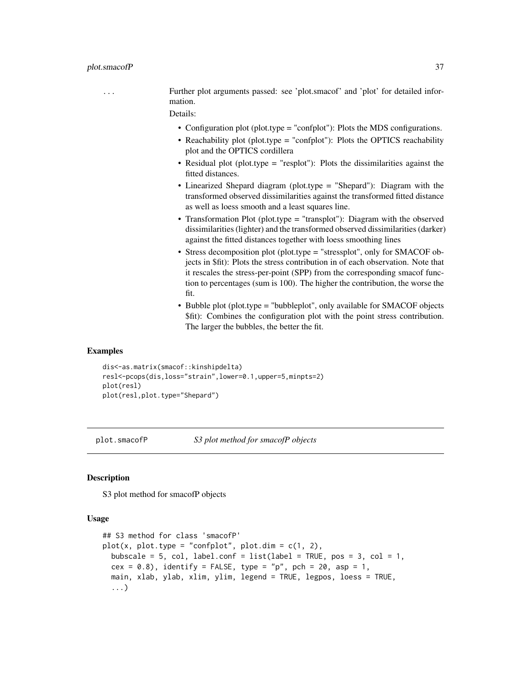<span id="page-36-0"></span>... Further plot arguments passed: see 'plot.smacof' and 'plot' for detailed information.

Details:

- Configuration plot (plot.type = "confplot"): Plots the MDS configurations.
- Reachability plot (plot.type = "confplot"): Plots the OPTICS reachability plot and the OPTICS cordillera
- Residual plot (plot.type = "resplot"): Plots the dissimilarities against the fitted distances.
- Linearized Shepard diagram (plot.type = "Shepard"): Diagram with the transformed observed dissimilarities against the transformed fitted distance as well as loess smooth and a least squares line.
- Transformation Plot (plot.type = "transplot"): Diagram with the observed dissimilarities (lighter) and the transformed observed dissimilarities (darker) against the fitted distances together with loess smoothing lines
- Stress decomposition plot (plot.type = "stressplot", only for SMACOF objects in \$fit): Plots the stress contribution in of each observation. Note that it rescales the stress-per-point (SPP) from the corresponding smacof function to percentages (sum is 100). The higher the contribution, the worse the fit.
- Bubble plot (plot.type = "bubbleplot", only available for SMACOF objects \$fit): Combines the configuration plot with the point stress contribution. The larger the bubbles, the better the fit.

#### Examples

```
dis<-as.matrix(smacof::kinshipdelta)
resl<-pcops(dis,loss="strain",lower=0.1,upper=5,minpts=2)
plot(resl)
plot(resl,plot.type="Shepard")
```
plot.smacofP *S3 plot method for smacofP objects*

#### **Description**

S3 plot method for smacofP objects

#### Usage

```
## S3 method for class 'smacofP'
plot(x, plot_type = "confplot", plot.dim = c(1, 2),bubscale = 5, col, label.conf = list(label = TRUE, pos = 3, col = 1,
  cex = 0.8, identify = FALSE, type = "p", pch = 20, asp = 1,
  main, xlab, ylab, xlim, ylim, legend = TRUE, legpos, loess = TRUE,
  ...)
```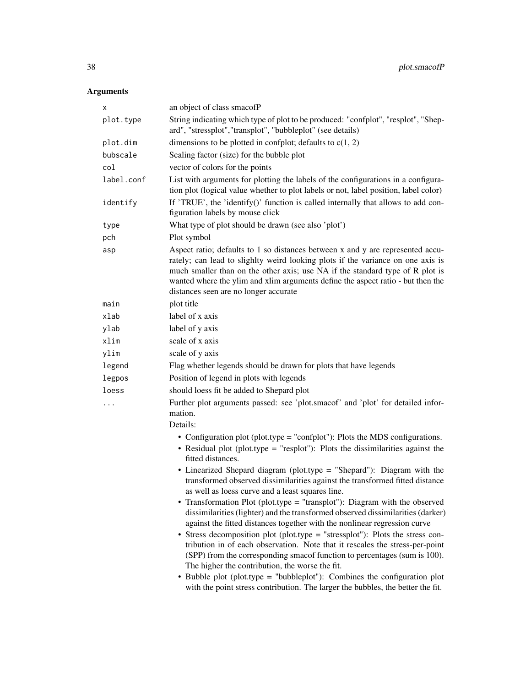| х          | an object of class smacofP                                                                                                                                                                                                                                                                                                                                                     |
|------------|--------------------------------------------------------------------------------------------------------------------------------------------------------------------------------------------------------------------------------------------------------------------------------------------------------------------------------------------------------------------------------|
| plot.type  | String indicating which type of plot to be produced: "confplot", "resplot", "Shep-<br>ard", "stressplot", "transplot", "bubbleplot" (see details)                                                                                                                                                                                                                              |
| plot.dim   | dimensions to be plotted in confplot; defaults to $c(1, 2)$                                                                                                                                                                                                                                                                                                                    |
| bubscale   | Scaling factor (size) for the bubble plot                                                                                                                                                                                                                                                                                                                                      |
| col        | vector of colors for the points                                                                                                                                                                                                                                                                                                                                                |
| label.conf | List with arguments for plotting the labels of the configurations in a configura-<br>tion plot (logical value whether to plot labels or not, label position, label color)                                                                                                                                                                                                      |
| identify   | If 'TRUE', the 'identify()' function is called internally that allows to add con-<br>figuration labels by mouse click                                                                                                                                                                                                                                                          |
| type       | What type of plot should be drawn (see also 'plot')                                                                                                                                                                                                                                                                                                                            |
| pch        | Plot symbol                                                                                                                                                                                                                                                                                                                                                                    |
| asp        | Aspect ratio; defaults to 1 so distances between x and y are represented accu-<br>rately; can lead to slighlty weird looking plots if the variance on one axis is<br>much smaller than on the other axis; use NA if the standard type of R plot is<br>wanted where the ylim and xlim arguments define the aspect ratio - but then the<br>distances seen are no longer accurate |
| main       | plot title                                                                                                                                                                                                                                                                                                                                                                     |
| xlab       | label of x axis                                                                                                                                                                                                                                                                                                                                                                |
| ylab       | label of y axis                                                                                                                                                                                                                                                                                                                                                                |
| xlim       | scale of x axis                                                                                                                                                                                                                                                                                                                                                                |
| ylim       | scale of y axis                                                                                                                                                                                                                                                                                                                                                                |
| legend     | Flag whether legends should be drawn for plots that have legends                                                                                                                                                                                                                                                                                                               |
| legpos     | Position of legend in plots with legends                                                                                                                                                                                                                                                                                                                                       |
| loess      | should loess fit be added to Shepard plot                                                                                                                                                                                                                                                                                                                                      |
| .          | Further plot arguments passed: see 'plot.smacof' and 'plot' for detailed infor-<br>mation.                                                                                                                                                                                                                                                                                     |
|            | Details:                                                                                                                                                                                                                                                                                                                                                                       |
|            | • Configuration plot (plot.type = "confplot"): Plots the MDS configurations.<br>• Residual plot (plot.type = "resplot"): Plots the dissimilarities against the<br>fitted distances.                                                                                                                                                                                            |
|            | • Linearized Shepard diagram (plot.type = "Shepard"): Diagram with the<br>transformed observed dissimilarities against the transformed fitted distance<br>as well as loess curve and a least squares line.                                                                                                                                                                     |
|            | • Transformation Plot (plot.type = "transplot"): Diagram with the observed<br>dissimilarities (lighter) and the transformed observed dissimilarities (darker)<br>against the fitted distances together with the nonlinear regression curve                                                                                                                                     |
|            | • Stress decomposition plot (plot.type = "stressplot"): Plots the stress con-<br>tribution in of each observation. Note that it rescales the stress-per-point<br>(SPP) from the corresponding smacof function to percentages (sum is 100).<br>The higher the contribution, the worse the fit.                                                                                  |
|            | • Bubble plot (plot.type = "bubbleplot"): Combines the configuration plot<br>with the point stress contribution. The larger the bubbles, the better the fit.                                                                                                                                                                                                                   |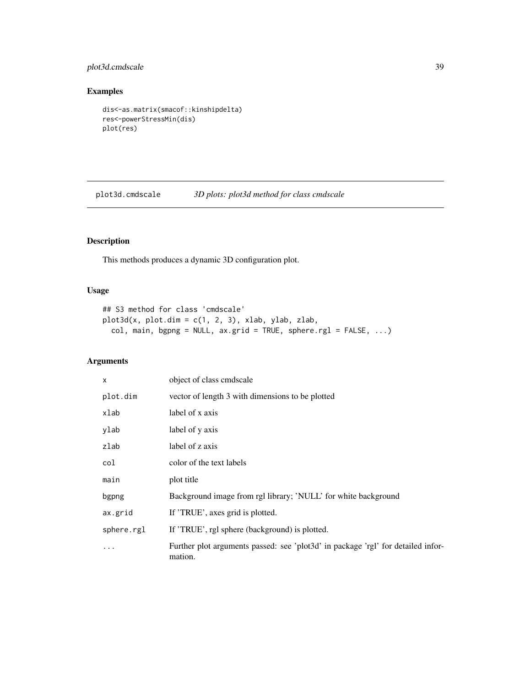# <span id="page-38-0"></span>plot3d.cmdscale 39

#### Examples

```
dis<-as.matrix(smacof::kinshipdelta)
res<-powerStressMin(dis)
plot(res)
```
plot3d.cmdscale *3D plots: plot3d method for class cmdscale*

# Description

This methods produces a dynamic 3D configuration plot.

# Usage

```
## S3 method for class 'cmdscale'
plot3d(x, plot.dim = c(1, 2, 3), xlab, ylab, zlab,col, main, bgpng = NULL, ax.grid = TRUE, sphere.rgl = FALSE, ...)
```

| X          | object of class cmdscale                                                                    |
|------------|---------------------------------------------------------------------------------------------|
| plot.dim   | vector of length 3 with dimensions to be plotted                                            |
| xlab       | label of x axis                                                                             |
| ylab       | label of y axis                                                                             |
| zlab       | label of z axis                                                                             |
| col        | color of the text labels                                                                    |
| main       | plot title                                                                                  |
| bgpng      | Background image from rgl library; 'NULL' for white background                              |
| ax.grid    | If 'TRUE', axes grid is plotted.                                                            |
| sphere.rgl | If 'TRUE', rgl sphere (background) is plotted.                                              |
| $\ddotsc$  | Further plot arguments passed: see 'plot3d' in package 'rgl' for detailed infor-<br>mation. |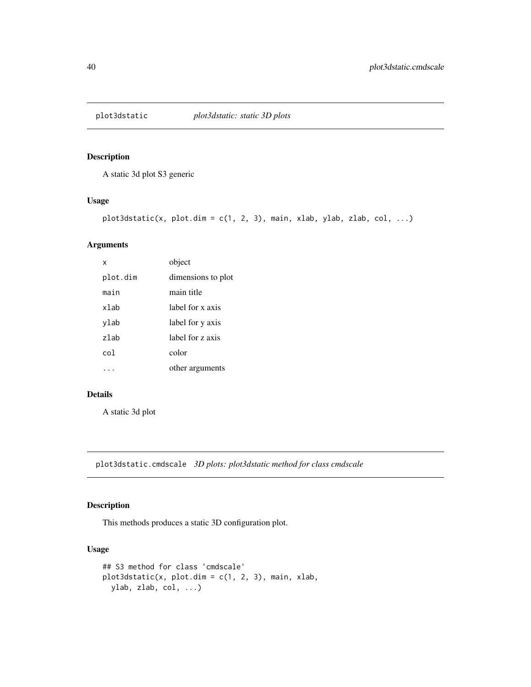<span id="page-39-0"></span>

A static 3d plot S3 generic

# Usage

```
plot3dstatic(x, plot.dim = c(1, 2, 3), main, xlab, ylab, zlab, col, ...)
```
#### Arguments

| x        | object             |
|----------|--------------------|
| plot.dim | dimensions to plot |
| main     | main title         |
| xlab     | label for x axis   |
| ylab     | label for y axis   |
| zlah     | label for z axis   |
| co1.     | color              |
|          | other arguments    |

#### Details

A static 3d plot

plot3dstatic.cmdscale *3D plots: plot3dstatic method for class cmdscale*

# Description

This methods produces a static 3D configuration plot.

#### Usage

```
## S3 method for class 'cmdscale'
plot3dstatic(x, plot.dim = c(1, 2, 3), main, xlab,ylab, zlab, col, ...)
```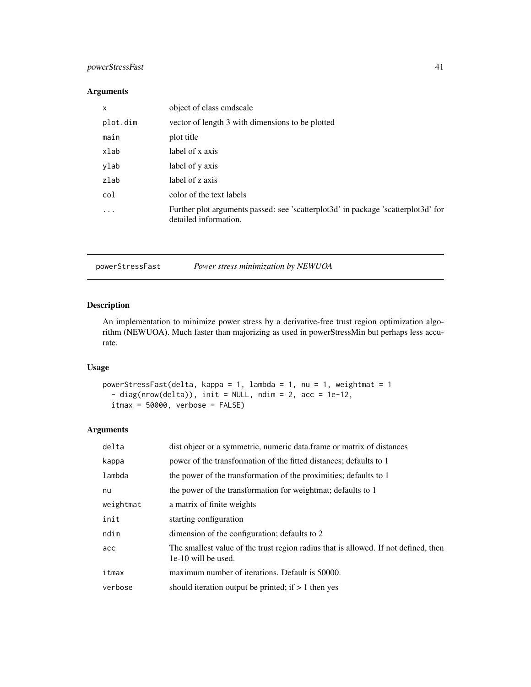# <span id="page-40-0"></span>powerStressFast 41

#### Arguments

| X                       | object of class cmdscale                                                                                   |
|-------------------------|------------------------------------------------------------------------------------------------------------|
| plot.dim                | vector of length 3 with dimensions to be plotted                                                           |
| main                    | plot title                                                                                                 |
| xlab                    | label of x axis                                                                                            |
| ylab                    | label of y axis                                                                                            |
| zlab                    | label of z axis                                                                                            |
| col                     | color of the text labels                                                                                   |
| $\cdot$ $\cdot$ $\cdot$ | Further plot arguments passed: see 'scatterplot3d' in package 'scatterplot3d' for<br>detailed information. |

powerStressFast *Power stress minimization by NEWUOA*

# Description

An implementation to minimize power stress by a derivative-free trust region optimization algorithm (NEWUOA). Much faster than majorizing as used in powerStressMin but perhaps less accurate.

# Usage

```
powerStressFast(delta, kappa = 1, lambda = 1, nu = 1, weightmat = 1
  - diag(nrow(delta)), init = NULL, ndim = 2, acc = 1e-12,
 itmax = 50000, verbose = FALSE)
```

| delta     | dist object or a symmetric, numeric data frame or matrix of distances                                      |
|-----------|------------------------------------------------------------------------------------------------------------|
| kappa     | power of the transformation of the fitted distances; defaults to 1                                         |
| lambda    | the power of the transformation of the proximities; defaults to 1                                          |
| nu        | the power of the transformation for weightmat; defaults to 1                                               |
| weightmat | a matrix of finite weights                                                                                 |
| init      | starting configuration                                                                                     |
| ndim      | dimension of the configuration; defaults to 2                                                              |
| acc       | The smallest value of the trust region radius that is allowed. If not defined, then<br>1e-10 will be used. |
| itmax     | maximum number of iterations. Default is 50000.                                                            |
| verbose   | should iteration output be printed; if $> 1$ then yes                                                      |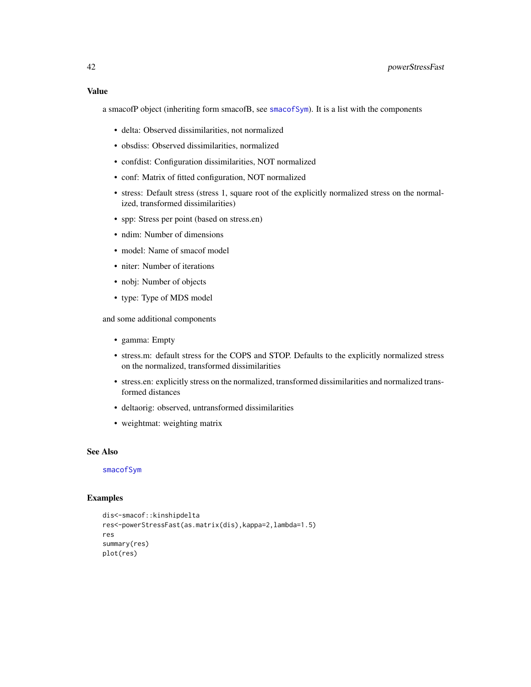#### <span id="page-41-0"></span>Value

a smacofP object (inheriting form smacofB, see [smacofSym](#page-0-0)). It is a list with the components

- delta: Observed dissimilarities, not normalized
- obsdiss: Observed dissimilarities, normalized
- confdist: Configuration dissimilarities, NOT normalized
- conf: Matrix of fitted configuration, NOT normalized
- stress: Default stress (stress 1, square root of the explicitly normalized stress on the normalized, transformed dissimilarities)
- spp: Stress per point (based on stress.en)
- ndim: Number of dimensions
- model: Name of smacof model
- niter: Number of iterations
- nobj: Number of objects
- type: Type of MDS model

and some additional components

- gamma: Empty
- stress.m: default stress for the COPS and STOP. Defaults to the explicitly normalized stress on the normalized, transformed dissimilarities
- stress.en: explicitly stress on the normalized, transformed dissimilarities and normalized transformed distances
- deltaorig: observed, untransformed dissimilarities
- weightmat: weighting matrix

#### See Also

[smacofSym](#page-0-0)

#### Examples

```
dis<-smacof::kinshipdelta
res<-powerStressFast(as.matrix(dis),kappa=2,lambda=1.5)
res
summary(res)
plot(res)
```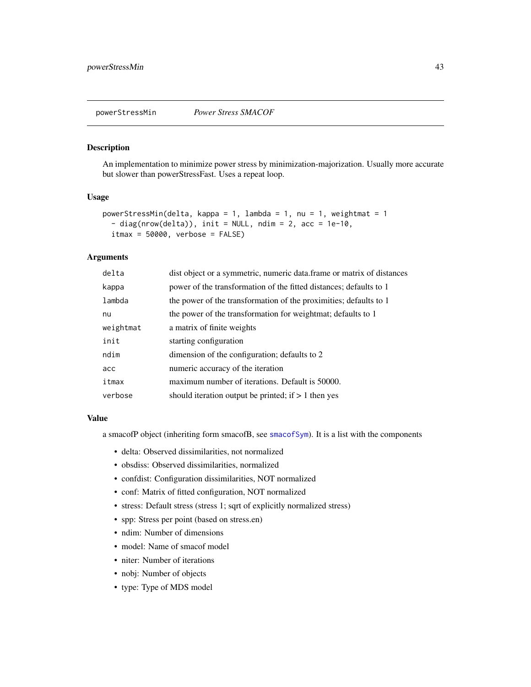<span id="page-42-0"></span>

An implementation to minimize power stress by minimization-majorization. Usually more accurate but slower than powerStressFast. Uses a repeat loop.

#### Usage

```
powerStressMin(delta, kappa = 1, lambda = 1, nu = 1, weightmat = 1
  - diag(nrow(delta)), init = NULL, ndim = 2, acc = 1e-10,
  itmax = 50000, verbose = FALSE)
```
# Arguments

| delta     | dist object or a symmetric, numeric data frame or matrix of distances |
|-----------|-----------------------------------------------------------------------|
| kappa     | power of the transformation of the fitted distances; defaults to 1    |
| lambda    | the power of the transformation of the proximities; defaults to 1     |
| nu        | the power of the transformation for weightmat; defaults to 1          |
| weightmat | a matrix of finite weights                                            |
| init      | starting configuration                                                |
| ndim      | dimension of the configuration; defaults to 2                         |
| acc       | numeric accuracy of the iteration                                     |
| itmax     | maximum number of iterations. Default is 50000.                       |
| verbose   | should iteration output be printed; if $> 1$ then yes                 |

#### Value

a smacofP object (inheriting form smacofB, see [smacofSym](#page-0-0)). It is a list with the components

- delta: Observed dissimilarities, not normalized
- obsdiss: Observed dissimilarities, normalized
- confdist: Configuration dissimilarities, NOT normalized
- conf: Matrix of fitted configuration, NOT normalized
- stress: Default stress (stress 1; sqrt of explicitly normalized stress)
- spp: Stress per point (based on stress.en)
- ndim: Number of dimensions
- model: Name of smacof model
- niter: Number of iterations
- nobj: Number of objects
- type: Type of MDS model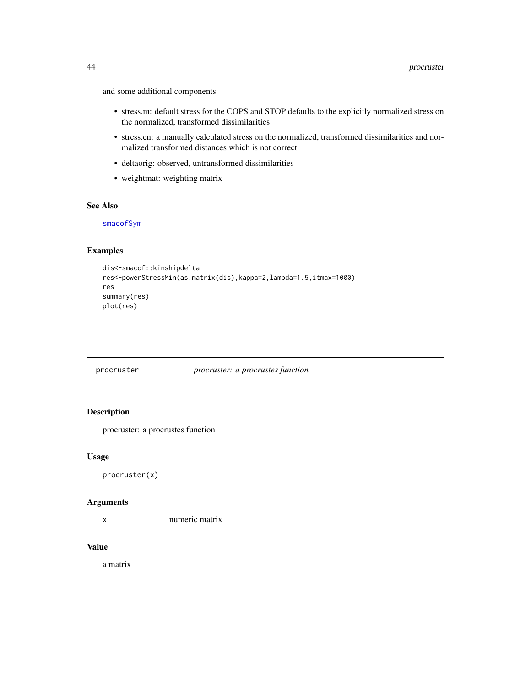<span id="page-43-0"></span>and some additional components

- stress.m: default stress for the COPS and STOP defaults to the explicitly normalized stress on the normalized, transformed dissimilarities
- stress.en: a manually calculated stress on the normalized, transformed dissimilarities and normalized transformed distances which is not correct
- deltaorig: observed, untransformed dissimilarities
- weightmat: weighting matrix

#### See Also

[smacofSym](#page-0-0)

#### Examples

```
dis<-smacof::kinshipdelta
res<-powerStressMin(as.matrix(dis),kappa=2,lambda=1.5,itmax=1000)
res
summary(res)
plot(res)
```
#### procruster *procruster: a procrustes function*

#### Description

procruster: a procrustes function

#### Usage

procruster(x)

#### Arguments

x numeric matrix

#### Value

a matrix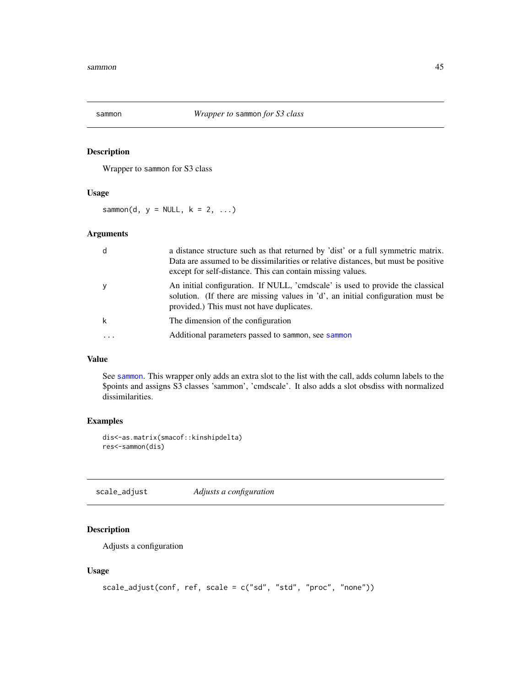<span id="page-44-1"></span><span id="page-44-0"></span>

Wrapper to sammon for S3 class

#### Usage

sammon(d,  $y = NULL, k = 2, ...$ )

# Arguments

| d        | a distance structure such as that returned by 'dist' or a full symmetric matrix.<br>Data are assumed to be dissimilarities or relative distances, but must be positive<br>except for self-distance. This can contain missing values. |
|----------|--------------------------------------------------------------------------------------------------------------------------------------------------------------------------------------------------------------------------------------|
|          | An initial configuration. If NULL, 'cmdscale' is used to provide the classical<br>solution. (If there are missing values in 'd', an initial configuration must be<br>provided.) This must not have duplicates.                       |
|          | The dimension of the configuration                                                                                                                                                                                                   |
| $\cdots$ | Additional parameters passed to sammon, see sammon                                                                                                                                                                                   |

#### Value

See [sammon](#page-44-1). This wrapper only adds an extra slot to the list with the call, adds column labels to the \$points and assigns S3 classes 'sammon', 'cmdscale'. It also adds a slot obsdiss with normalized dissimilarities.

# Examples

```
dis<-as.matrix(smacof::kinshipdelta)
res<-sammon(dis)
```
scale\_adjust *Adjusts a configuration*

# Description

Adjusts a configuration

#### Usage

```
scale_adjust(conf, ref, scale = c("sd", "std", "proc", "none"))
```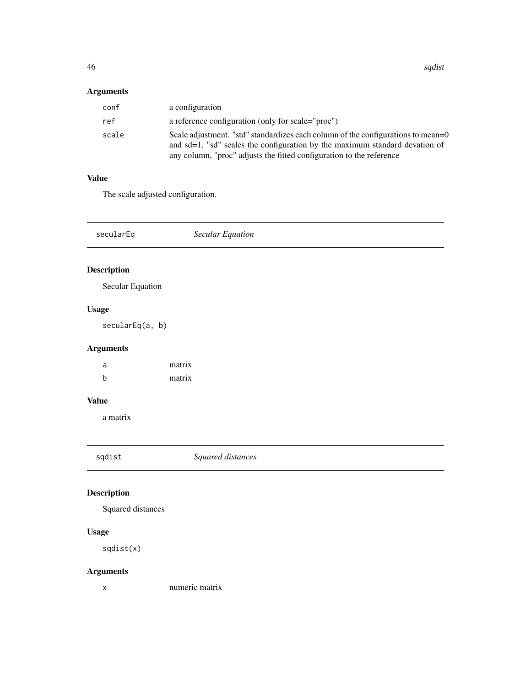# <span id="page-45-0"></span>Arguments

| conf  | a configuration                                                                                                                                                                                                                         |
|-------|-----------------------------------------------------------------------------------------------------------------------------------------------------------------------------------------------------------------------------------------|
| ref   | a reference configuration (only for scale="proc")                                                                                                                                                                                       |
| scale | Scale adjustment. "std" standardizes each column of the configurations to mean=0<br>and sd=1, "sd" scales the configuration by the maximum standard devation of<br>any column, "proc" adjusts the fitted configuration to the reference |

# Value

The scale adjusted configuration.

| secularEq                 | <b>Secular Equation</b> |
|---------------------------|-------------------------|
| <b>Description</b>        |                         |
| Secular Equation<br>Usage |                         |

secularEq(a, b)

# Arguments

| a | matrix |
|---|--------|
| b | matrix |

# Value

a matrix

sqdist *Squared distances*

# Description

Squared distances

# Usage

sqdist(x)

# Arguments

x numeric matrix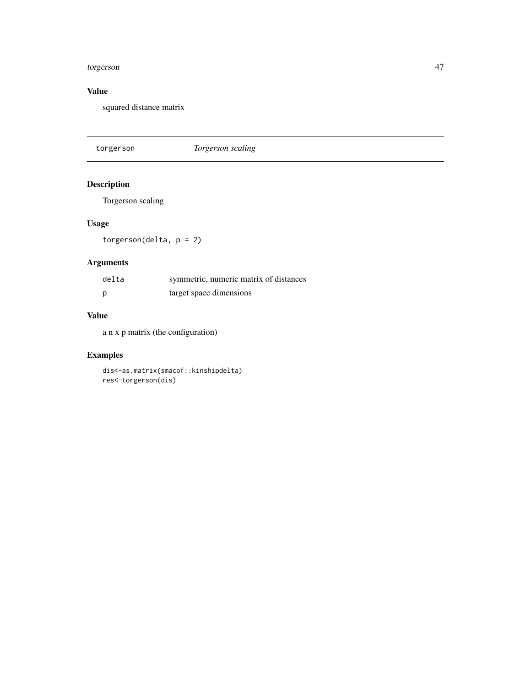#### <span id="page-46-0"></span>torgerson 47

# Value

squared distance matrix

torgerson *Torgerson scaling*

# Description

Torgerson scaling

# Usage

torgerson(delta, p = 2)

# Arguments

| delta | symmetric, numeric matrix of distances |
|-------|----------------------------------------|
|       | target space dimensions                |

# Value

a n x p matrix (the configuration)

# Examples

dis<-as.matrix(smacof::kinshipdelta) res<-torgerson(dis)